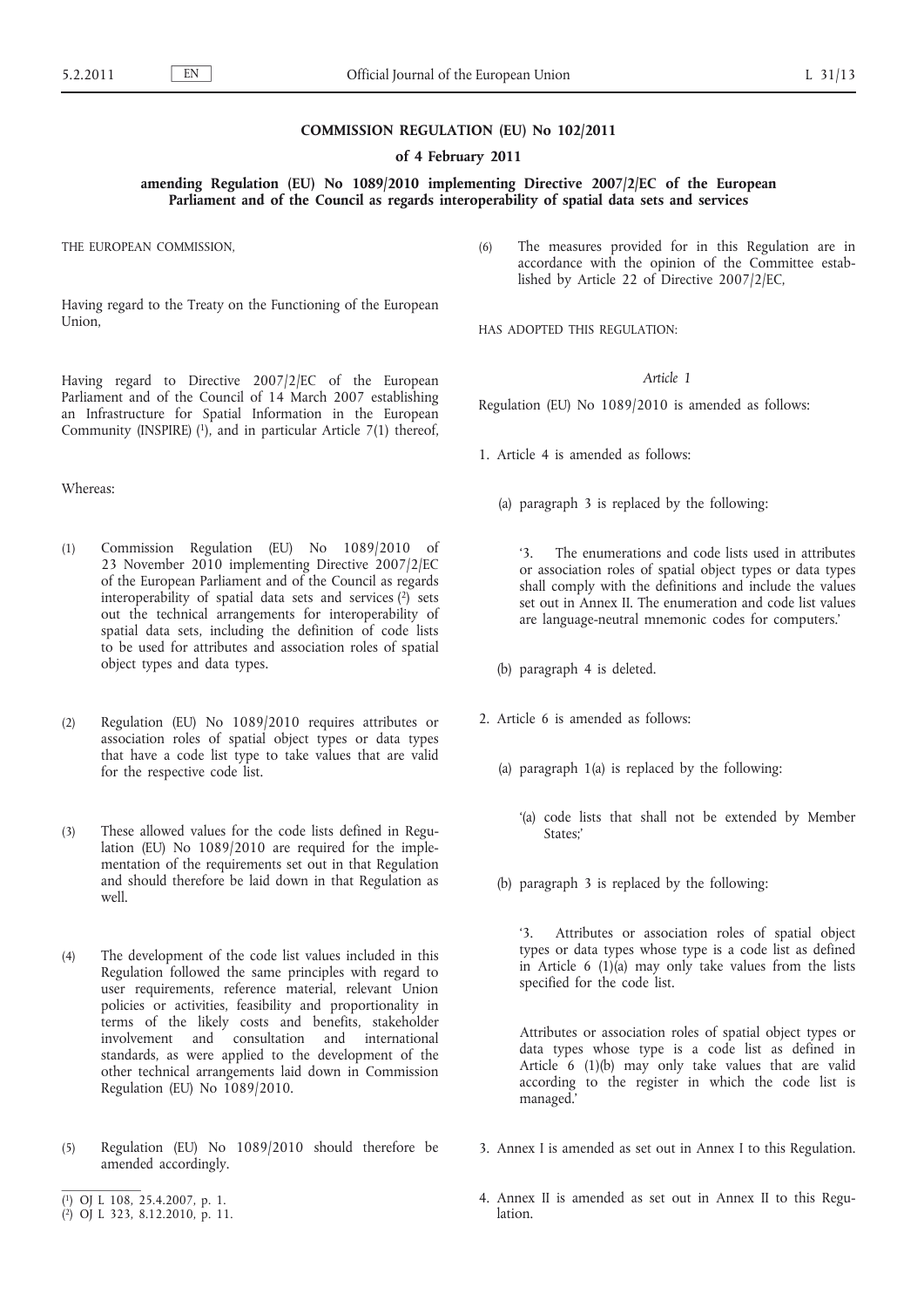#### **COMMISSION REGULATION (EU) No 102/2011**

**of 4 February 2011**

**amending Regulation (EU) No 1089/2010 implementing Directive 2007/2/EC of the European Parliament and of the Council as regards interoperability of spatial data sets and services**

THE EUROPEAN COMMISSION,

Having regard to the Treaty on the Functioning of the European Union,

Having regard to Directive 2007/2/EC of the European Parliament and of the Council of 14 March 2007 establishing an Infrastructure for Spatial Information in the European Community (INSPIRE)  $(1)$ , and in particular Article 7(1) thereof,

Whereas:

- (1) Commission Regulation (EU) No 1089/2010 of 23 November 2010 implementing Directive 2007/2/EC of the European Parliament and of the Council as regards interoperability of spatial data sets and services (2) sets out the technical arrangements for interoperability of spatial data sets, including the definition of code lists to be used for attributes and association roles of spatial object types and data types.
- (2) Regulation (EU) No 1089/2010 requires attributes or association roles of spatial object types or data types that have a code list type to take values that are valid for the respective code list.
- (3) These allowed values for the code lists defined in Regulation (EU) No 1089/2010 are required for the implementation of the requirements set out in that Regulation and should therefore be laid down in that Regulation as well.
- (4) The development of the code list values included in this Regulation followed the same principles with regard to user requirements, reference material, relevant Union policies or activities, feasibility and proportionality in terms of the likely costs and benefits, stakeholder involvement and consultation and international standards, as were applied to the development of the other technical arrangements laid down in Commission Regulation (EU) No 1089/2010.
- (5) Regulation (EU) No 1089/2010 should therefore be amended accordingly.
- ( 1) OJ L 108, 25.4.2007, p. 1.
- ( 2) OJ L 323, 8.12.2010, p. 11.

(6) The measures provided for in this Regulation are in accordance with the opinion of the Committee established by Article 22 of Directive 2007/2/EC,

HAS ADOPTED THIS REGULATION:

### *Article 1*

Regulation (EU) No 1089/2010 is amended as follows:

1. Article 4 is amended as follows:

(a) paragraph 3 is replaced by the following:

'3. The enumerations and code lists used in attributes or association roles of spatial object types or data types shall comply with the definitions and include the values set out in Annex II. The enumeration and code list values are language-neutral mnemonic codes for computers.'

- (b) paragraph 4 is deleted.
- 2. Article 6 is amended as follows:
	- (a) paragraph 1(a) is replaced by the following:
		- '(a) code lists that shall not be extended by Member States;
	- (b) paragraph 3 is replaced by the following:

'3. Attributes or association roles of spatial object types or data types whose type is a code list as defined in Article 6 (1)(a) may only take values from the lists specified for the code list.

Attributes or association roles of spatial object types or data types whose type is a code list as defined in Article 6 (1)(b) may only take values that are valid according to the register in which the code list is managed.'

- 3. Annex I is amended as set out in Annex I to this Regulation.
- 4. Annex II is amended as set out in Annex II to this Regulation.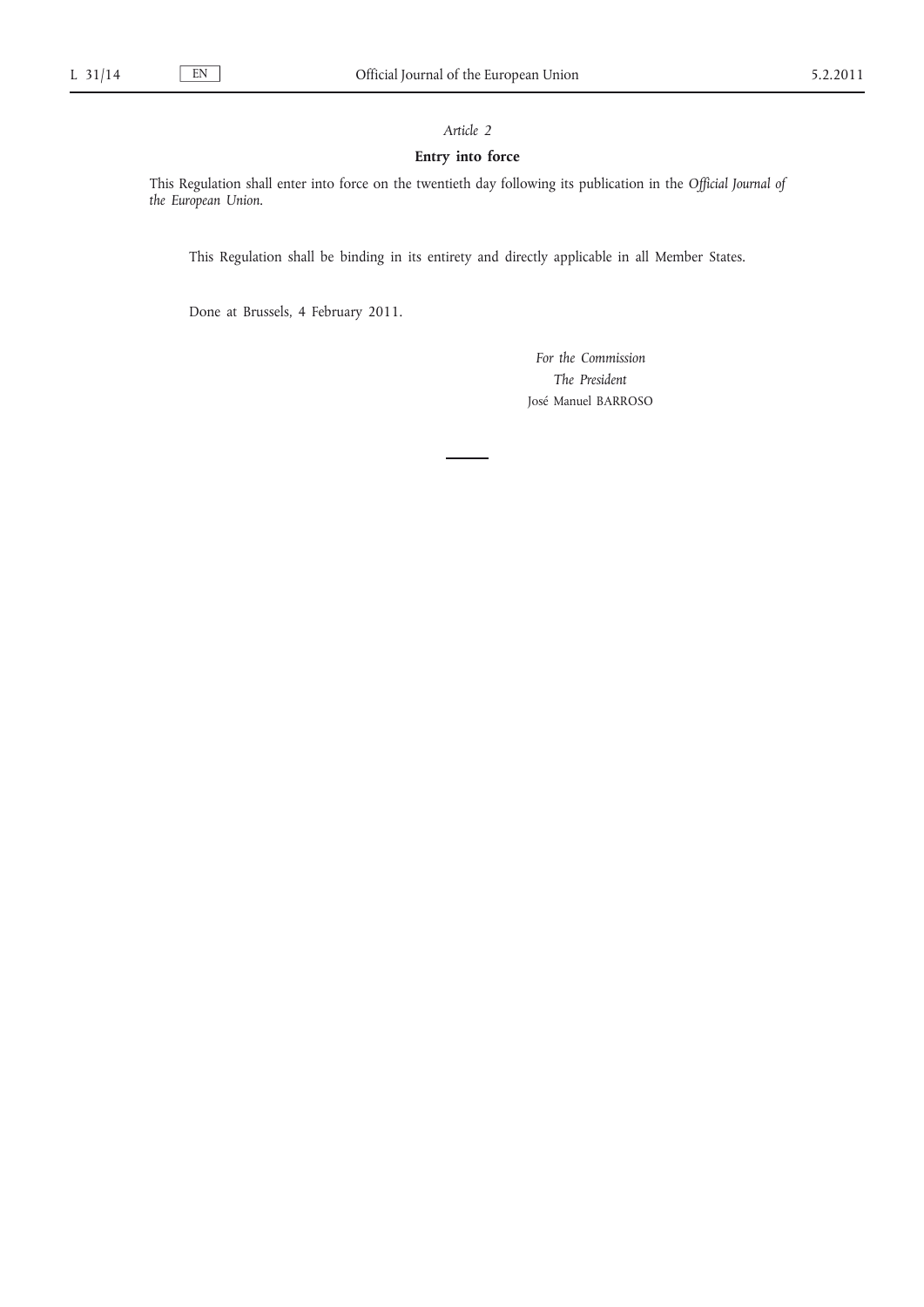## *Article 2*

## **Entry into force**

This Regulation shall enter into force on the twentieth day following its publication in the *Official Journal of the European Union*.

This Regulation shall be binding in its entirety and directly applicable in all Member States.

Done at Brussels, 4 February 2011.

*For the Commission The President* José Manuel BARROSO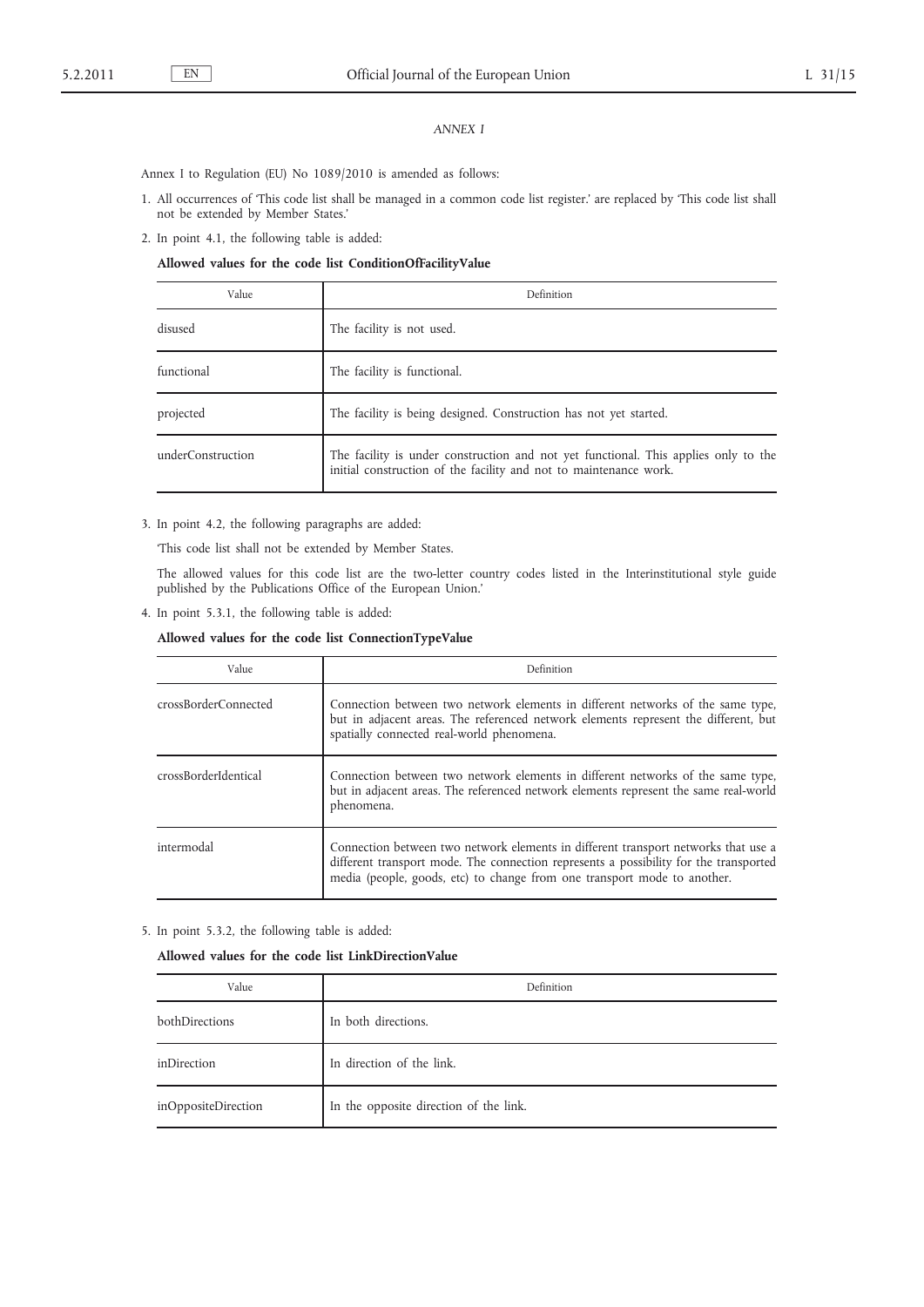## *ANNEX I*

Annex I to Regulation (EU) No 1089/2010 is amended as follows:

- 1. All occurrences of 'This code list shall be managed in a common code list register.' are replaced by 'This code list shall not be extended by Member States.'
- 2. In point 4.1, the following table is added:

# **Allowed values for the code list ConditionOfFacilityValue**

| Value             | Definition                                                                                                                                               |  |  |
|-------------------|----------------------------------------------------------------------------------------------------------------------------------------------------------|--|--|
| disused           | The facility is not used.                                                                                                                                |  |  |
| functional        | The facility is functional.                                                                                                                              |  |  |
| projected         | The facility is being designed. Construction has not yet started.                                                                                        |  |  |
| underConstruction | The facility is under construction and not yet functional. This applies only to the<br>initial construction of the facility and not to maintenance work. |  |  |

3. In point 4.2, the following paragraphs are added:

'This code list shall not be extended by Member States.

The allowed values for this code list are the two-letter country codes listed in the Interinstitutional style guide published by the Publications Office of the European Union.'

4. In point 5.3.1, the following table is added:

### **Allowed values for the code list ConnectionTypeValue**

| Value                | Definition                                                                                                                                                                                                                                              |
|----------------------|---------------------------------------------------------------------------------------------------------------------------------------------------------------------------------------------------------------------------------------------------------|
| crossBorderConnected | Connection between two network elements in different networks of the same type,<br>but in adjacent areas. The referenced network elements represent the different, but<br>spatially connected real-world phenomena.                                     |
| crossBorderIdentical | Connection between two network elements in different networks of the same type,<br>but in adjacent areas. The referenced network elements represent the same real-world<br>phenomena.                                                                   |
| intermodal           | Connection between two network elements in different transport networks that use a<br>different transport mode. The connection represents a possibility for the transported<br>media (people, goods, etc) to change from one transport mode to another. |

5. In point 5.3.2, the following table is added:

**Allowed values for the code list LinkDirectionValue**

| Value               | Definition                             |  |  |
|---------------------|----------------------------------------|--|--|
| bothDirections      | In both directions.                    |  |  |
| inDirection         | In direction of the link.              |  |  |
| inOppositeDirection | In the opposite direction of the link. |  |  |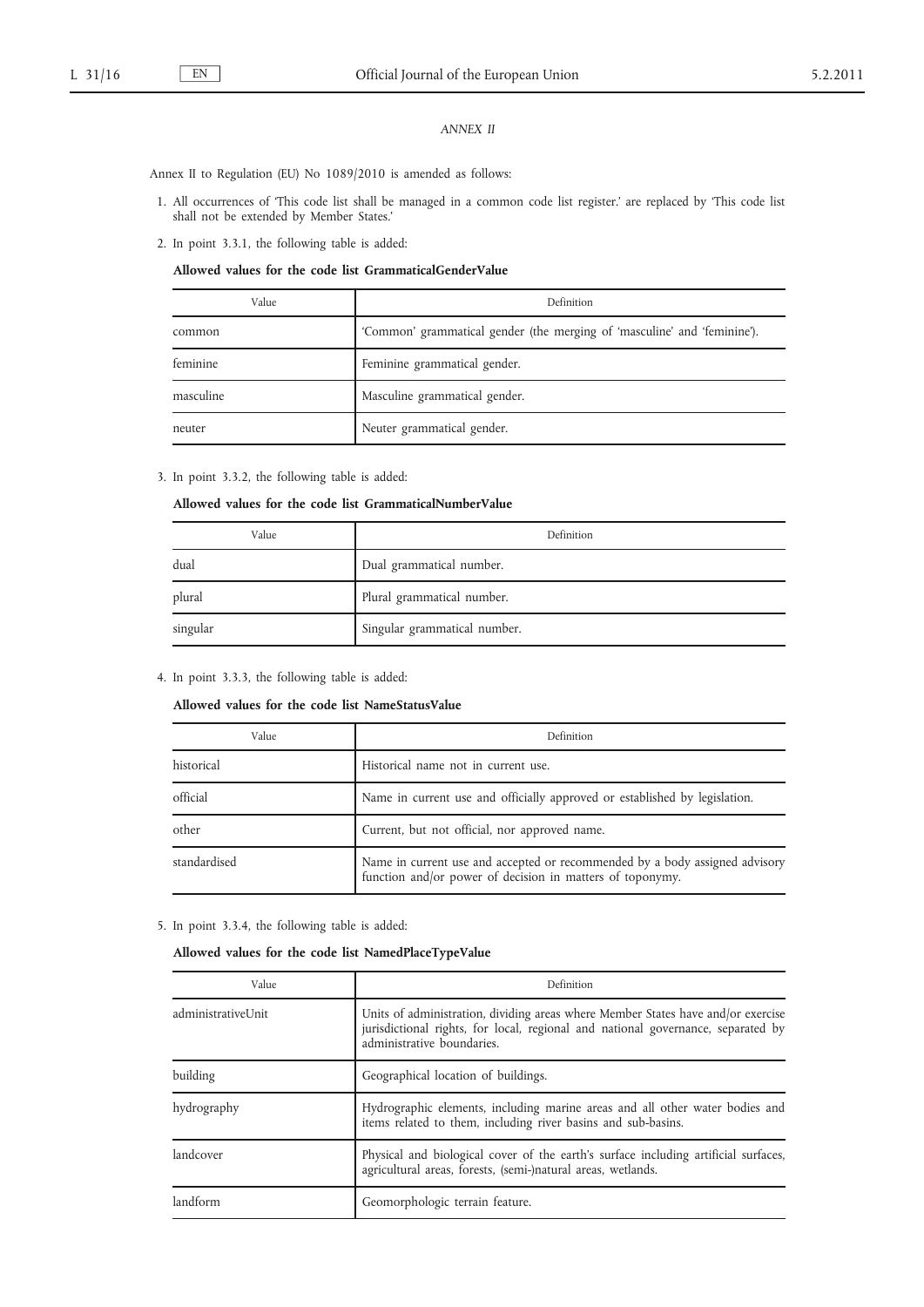## *ANNEX II*

Annex II to Regulation (EU) No 1089/2010 is amended as follows:

- 1. All occurrences of 'This code list shall be managed in a common code list register.' are replaced by 'This code list shall not be extended by Member States.'
- 2. In point 3.3.1, the following table is added:

### **Allowed values for the code list GrammaticalGenderValue**

| Value     | Definition                                                               |  |  |
|-----------|--------------------------------------------------------------------------|--|--|
| common    | 'Common' grammatical gender (the merging of 'masculine' and 'feminine'). |  |  |
| feminine  | Feminine grammatical gender.                                             |  |  |
| masculine | Masculine grammatical gender.                                            |  |  |
| neuter    | Neuter grammatical gender.                                               |  |  |

3. In point 3.3.2, the following table is added:

### **Allowed values for the code list GrammaticalNumberValue**

| Value                                | Definition                   |  |
|--------------------------------------|------------------------------|--|
| Dual grammatical number.<br>dual     |                              |  |
| Plural grammatical number.<br>plural |                              |  |
| singular                             | Singular grammatical number. |  |

4. In point 3.3.3, the following table is added:

## **Allowed values for the code list NameStatusValue**

| Value        | Definition                                                                                                                               |  |
|--------------|------------------------------------------------------------------------------------------------------------------------------------------|--|
| historical   | Historical name not in current use.                                                                                                      |  |
| official     | Name in current use and officially approved or established by legislation.                                                               |  |
| other        | Current, but not official, nor approved name.                                                                                            |  |
| standardised | Name in current use and accepted or recommended by a body assigned advisory<br>function and/or power of decision in matters of toponymy. |  |

5. In point 3.3.4, the following table is added:

|  |  |  |  |  |  | Allowed values for the code list NamedPlaceTypeValue |  |
|--|--|--|--|--|--|------------------------------------------------------|--|
|--|--|--|--|--|--|------------------------------------------------------|--|

| Value              | Definition                                                                                                                                                                                         |  |  |
|--------------------|----------------------------------------------------------------------------------------------------------------------------------------------------------------------------------------------------|--|--|
| administrativeUnit | Units of administration, dividing areas where Member States have and/or exercise<br>jurisdictional rights, for local, regional and national governance, separated by<br>administrative boundaries. |  |  |
| building           | Geographical location of buildings.                                                                                                                                                                |  |  |
| hydrography        | Hydrographic elements, including marine areas and all other water bodies and<br>items related to them, including river basins and sub-basins.                                                      |  |  |
| landcover          | Physical and biological cover of the earth's surface including artificial surfaces,<br>agricultural areas, forests, (semi-)natural areas, wetlands.                                                |  |  |
| landform           | Geomorphologic terrain feature.                                                                                                                                                                    |  |  |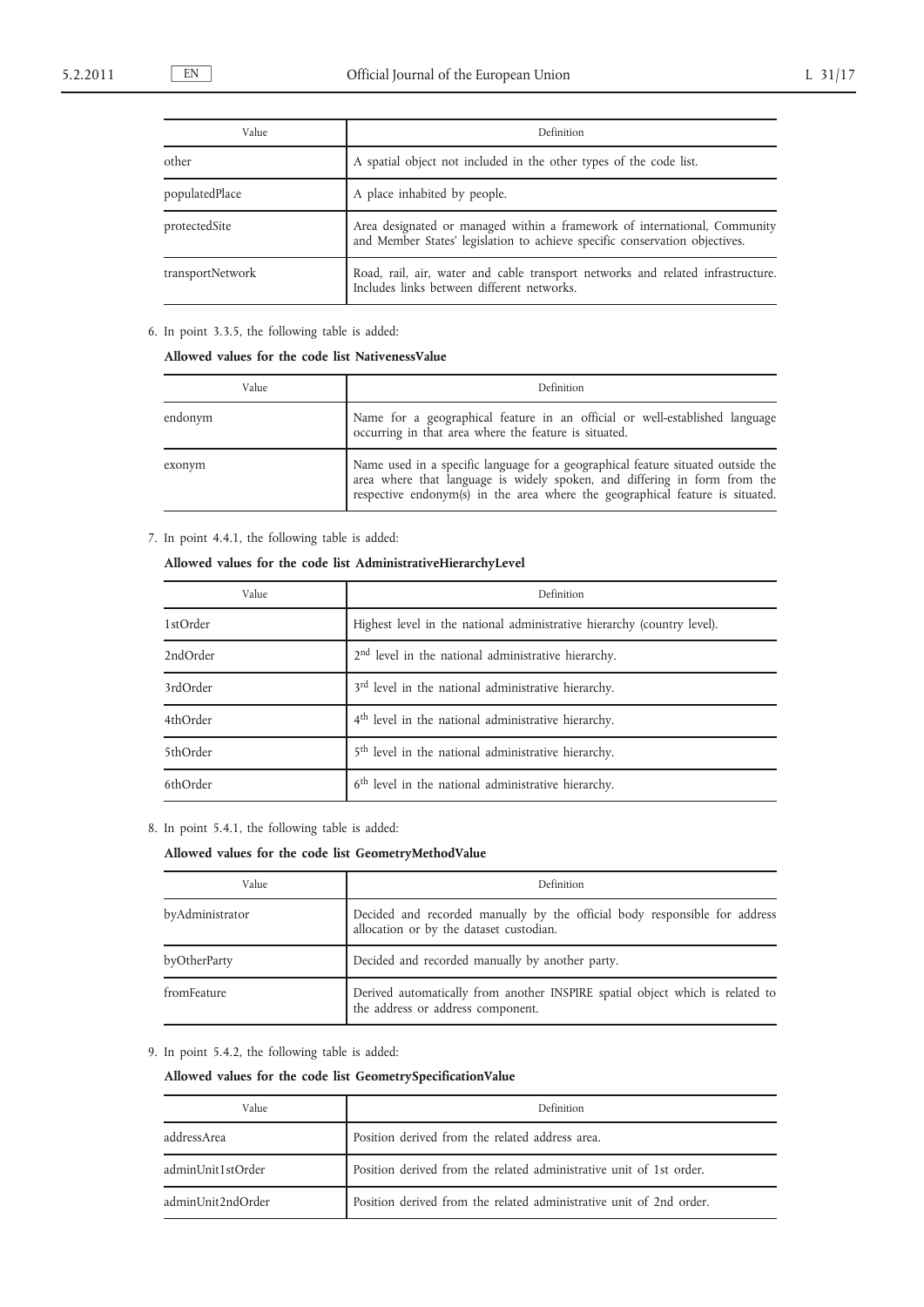| Value            | Definition                                                                                                                                               |  |  |
|------------------|----------------------------------------------------------------------------------------------------------------------------------------------------------|--|--|
| other            | A spatial object not included in the other types of the code list.                                                                                       |  |  |
| populatedPlace   | A place inhabited by people.                                                                                                                             |  |  |
| protectedSite    | Area designated or managed within a framework of international, Community<br>and Member States' legislation to achieve specific conservation objectives. |  |  |
| transportNetwork | Road, rail, air, water and cable transport networks and related infrastructure.<br>Includes links between different networks.                            |  |  |

# 6. In point 3.3.5, the following table is added:

### **Allowed values for the code list NativenessValue**

| Value   | Definition                                                                                                                                                                                                                                  |
|---------|---------------------------------------------------------------------------------------------------------------------------------------------------------------------------------------------------------------------------------------------|
| endonym | Name for a geographical feature in an official or well-established language<br>occurring in that area where the feature is situated.                                                                                                        |
| exonym  | Name used in a specific language for a geographical feature situated outside the area where that language is widely spoken, and differing in form from the<br>respective endonym(s) in the area where the geographical feature is situated. |

## 7. In point 4.4.1, the following table is added:

## **Allowed values for the code list AdministrativeHierarchyLevel**

| Value    | Definition                                                              |
|----------|-------------------------------------------------------------------------|
| 1stOrder | Highest level in the national administrative hierarchy (country level). |
| 2ndOrder | 2 <sup>nd</sup> level in the national administrative hierarchy.         |
| 3rdOrder | 3 <sup>rd</sup> level in the national administrative hierarchy.         |
| 4thOrder | 4 <sup>th</sup> level in the national administrative hierarchy.         |
| 5thOrder | 5 <sup>th</sup> level in the national administrative hierarchy.         |
| 6thOrder | 6 <sup>th</sup> level in the national administrative hierarchy.         |

8. In point 5.4.1, the following table is added:

### **Allowed values for the code list GeometryMethodValue**

| Value           | Definition                                                                                                            |  |  |
|-----------------|-----------------------------------------------------------------------------------------------------------------------|--|--|
| byAdministrator | Decided and recorded manually by the official body responsible for address<br>allocation or by the dataset custodian. |  |  |
| byOtherParty    | Decided and recorded manually by another party.                                                                       |  |  |
| fromFeature     | Derived automatically from another INSPIRE spatial object which is related to<br>the address or address component.    |  |  |

# 9. In point 5.4.2, the following table is added:

# **Allowed values for the code list GeometrySpecificationValue**

| Value             | Definition                                                          |
|-------------------|---------------------------------------------------------------------|
| addressArea       | Position derived from the related address area.                     |
| adminUnit1stOrder | Position derived from the related administrative unit of 1st order. |
| adminUnit2ndOrder | Position derived from the related administrative unit of 2nd order. |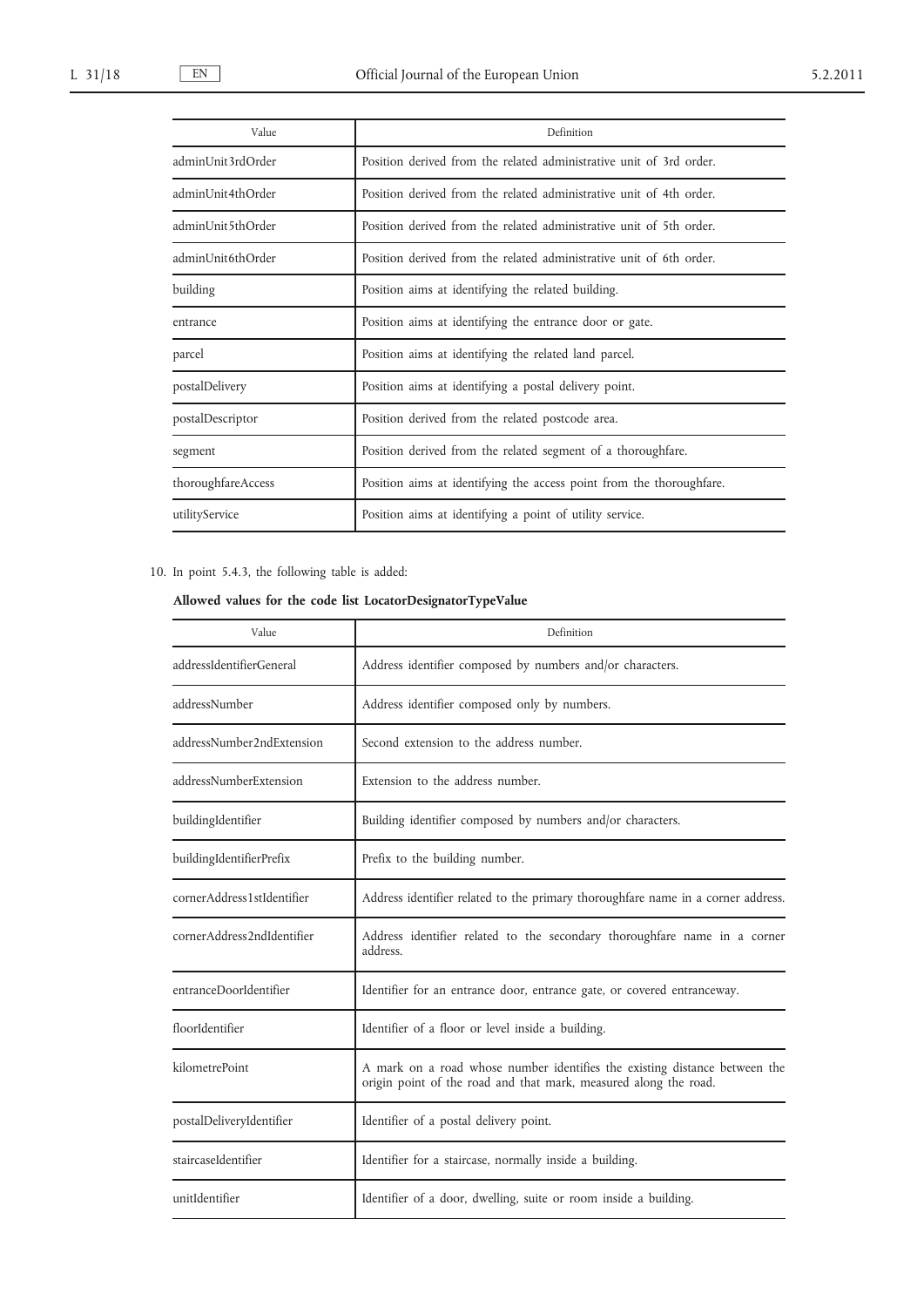| Value              | Definition                                                           |
|--------------------|----------------------------------------------------------------------|
| adminUnit3rdOrder  | Position derived from the related administrative unit of 3rd order.  |
| adminUnit4thOrder  | Position derived from the related administrative unit of 4th order.  |
| adminUnit5thOrder  | Position derived from the related administrative unit of 5th order.  |
| adminUnit6thOrder  | Position derived from the related administrative unit of 6th order.  |
| building           | Position aims at identifying the related building.                   |
| entrance           | Position aims at identifying the entrance door or gate.              |
| parcel             | Position aims at identifying the related land parcel.                |
| postalDelivery     | Position aims at identifying a postal delivery point.                |
| postalDescriptor   | Position derived from the related postcode area.                     |
| segment            | Position derived from the related segment of a thoroughfare.         |
| thoroughfareAccess | Position aims at identifying the access point from the thoroughfare. |
| utilityService     | Position aims at identifying a point of utility service.             |

# 10. In point 5.4.3, the following table is added:

# **Allowed values for the code list LocatorDesignatorTypeValue**

| Value                      | Definition                                                                                                                                     |
|----------------------------|------------------------------------------------------------------------------------------------------------------------------------------------|
| addressIdentifierGeneral   | Address identifier composed by numbers and/or characters.                                                                                      |
| addressNumber              | Address identifier composed only by numbers.                                                                                                   |
| addressNumber2ndExtension  | Second extension to the address number.                                                                                                        |
| addressNumberExtension     | Extension to the address number.                                                                                                               |
| buildingIdentifier         | Building identifier composed by numbers and/or characters.                                                                                     |
| buildingIdentifierPrefix   | Prefix to the building number.                                                                                                                 |
| cornerAddress1stIdentifier | Address identifier related to the primary thoroughfare name in a corner address.                                                               |
| cornerAddress2ndIdentifier | Address identifier related to the secondary thoroughfare name in a corner<br>address.                                                          |
| entranceDoorIdentifier     | Identifier for an entrance door, entrance gate, or covered entranceway.                                                                        |
| floorIdentifier            | Identifier of a floor or level inside a building.                                                                                              |
| kilometrePoint             | A mark on a road whose number identifies the existing distance between the<br>origin point of the road and that mark, measured along the road. |
| postalDeliveryIdentifier   | Identifier of a postal delivery point.                                                                                                         |
| staircaseIdentifier        | Identifier for a staircase, normally inside a building.                                                                                        |
| unitIdentifier             | Identifier of a door, dwelling, suite or room inside a building.                                                                               |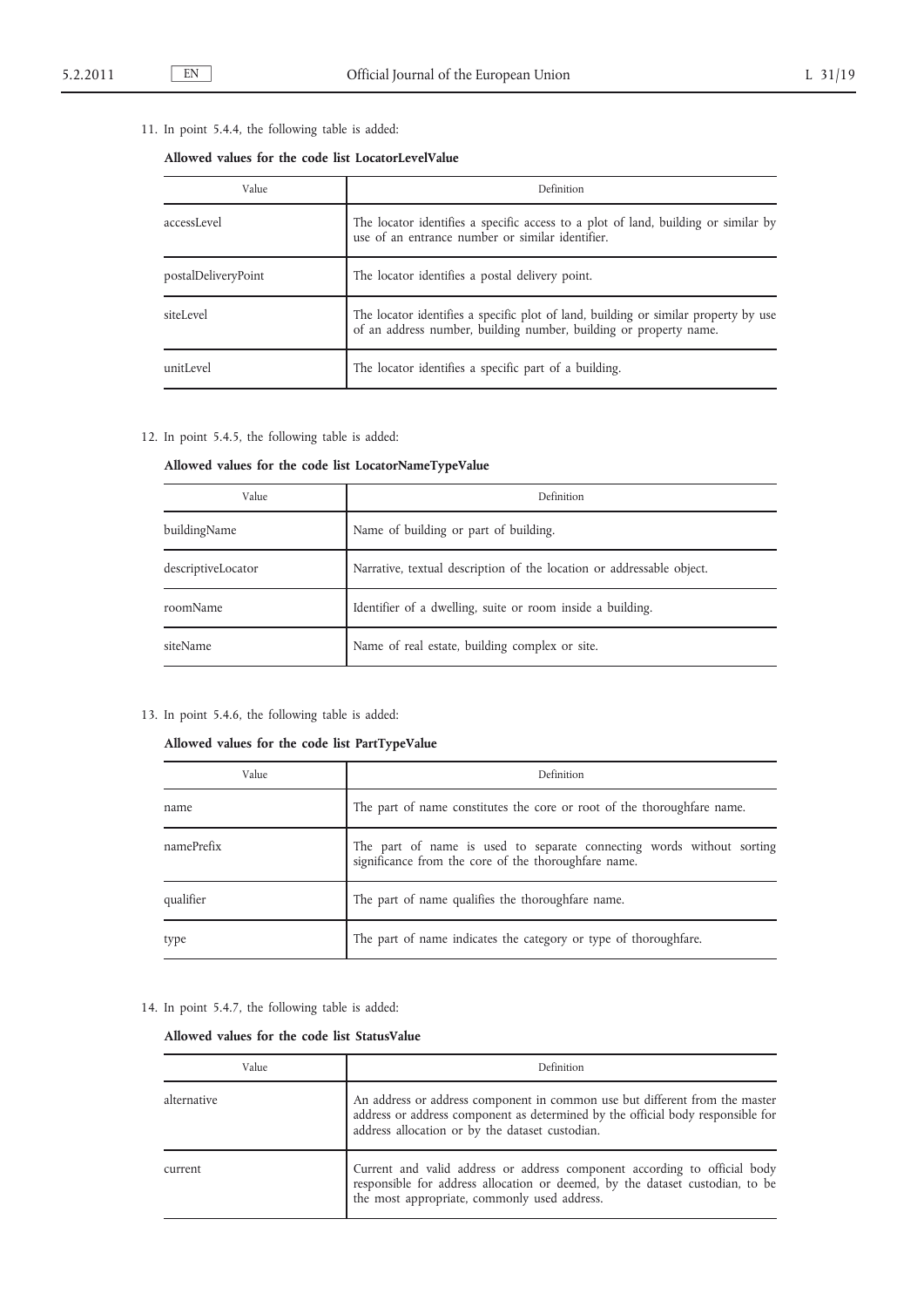## 11. In point 5.4.4, the following table is added:

## **Allowed values for the code list LocatorLevelValue**

| Value               | Definition                                                                                                                                               |
|---------------------|----------------------------------------------------------------------------------------------------------------------------------------------------------|
| accessLevel         | The locator identifies a specific access to a plot of land, building or similar by<br>use of an entrance number or similar identifier.                   |
| postalDeliveryPoint | The locator identifies a postal delivery point.                                                                                                          |
| siteLevel           | The locator identifies a specific plot of land, building or similar property by use<br>of an address number, building number, building or property name. |
| unitLevel           | The locator identifies a specific part of a building.                                                                                                    |

## 12. In point 5.4.5, the following table is added:

# **Allowed values for the code list LocatorNameTypeValue**

| Value              | Definition                                                            |
|--------------------|-----------------------------------------------------------------------|
| buildingName       | Name of building or part of building.                                 |
| descriptiveLocator | Narrative, textual description of the location or addressable object. |
| roomName           | Identifier of a dwelling, suite or room inside a building.            |
| siteName           | Name of real estate, building complex or site.                        |

### 13. In point 5.4.6, the following table is added:

## **Allowed values for the code list PartTypeValue**

| Value      | Definition                                                                                                                    |
|------------|-------------------------------------------------------------------------------------------------------------------------------|
| name       | The part of name constitutes the core or root of the thoroughfare name.                                                       |
| namePrefix | The part of name is used to separate connecting words without sorting<br>significance from the core of the thoroughfare name. |
| qualifier  | The part of name qualifies the thoroughfare name.                                                                             |
| type       | The part of name indicates the category or type of thoroughfare.                                                              |

14. In point 5.4.7, the following table is added:

### **Allowed values for the code list StatusValue**

| Value       | Definition                                                                                                                                                                                                        |
|-------------|-------------------------------------------------------------------------------------------------------------------------------------------------------------------------------------------------------------------|
| alternative | An address or address component in common use but different from the master<br>address or address component as determined by the official body responsible for<br>address allocation or by the dataset custodian. |
| current     | Current and valid address or address component according to official body<br>responsible for address allocation or deemed, by the dataset custodian, to be<br>the most appropriate, commonly used address.        |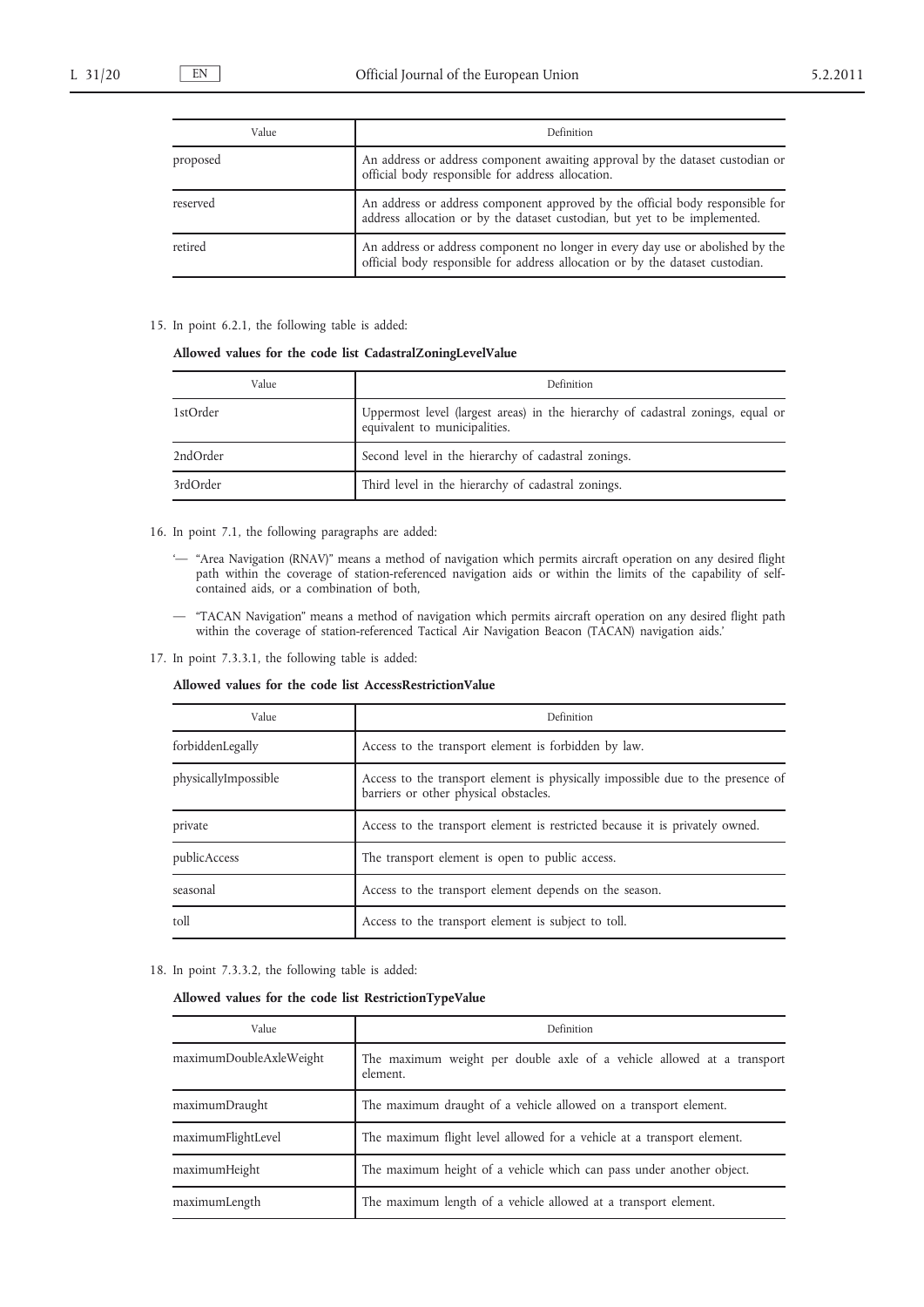| Value    | Definition                                                                                                                                                      |
|----------|-----------------------------------------------------------------------------------------------------------------------------------------------------------------|
| proposed | An address or address component awaiting approval by the dataset custodian or<br>official body responsible for address allocation.                              |
| reserved | An address or address component approved by the official body responsible for<br>address allocation or by the dataset custodian, but yet to be implemented.     |
| retired  | An address or address component no longer in every day use or abolished by the<br>official body responsible for address allocation or by the dataset custodian. |

#### 15. In point 6.2.1, the following table is added:

### **Allowed values for the code list CadastralZoningLevelValue**

| Value    | Definition                                                                                                       |
|----------|------------------------------------------------------------------------------------------------------------------|
| 1stOrder | Uppermost level (largest areas) in the hierarchy of cadastral zonings, equal or<br>equivalent to municipalities. |
| 2ndOrder | Second level in the hierarchy of cadastral zonings.                                                              |
| 3rdOrder | Third level in the hierarchy of cadastral zonings.                                                               |

## 16. In point 7.1, the following paragraphs are added:

- '— "Area Navigation (RNAV)" means a method of navigation which permits aircraft operation on any desired flight path within the coverage of station-referenced navigation aids or within the limits of the capability of selfcontained aids, or a combination of both,
- "TACAN Navigation" means a method of navigation which permits aircraft operation on any desired flight path within the coverage of station-referenced Tactical Air Navigation Beacon (TACAN) navigation aids.'
- 17. In point 7.3.3.1, the following table is added:

#### **Allowed values for the code list AccessRestrictionValue**

| Value                | Definition                                                                                                               |
|----------------------|--------------------------------------------------------------------------------------------------------------------------|
| forbiddenLegally     | Access to the transport element is forbidden by law.                                                                     |
| physicallyImpossible | Access to the transport element is physically impossible due to the presence of<br>barriers or other physical obstacles. |
| private              | Access to the transport element is restricted because it is privately owned.                                             |
| publicAccess         | The transport element is open to public access.                                                                          |
| seasonal             | Access to the transport element depends on the season.                                                                   |
| toll                 | Access to the transport element is subject to toll.                                                                      |

#### 18. In point 7.3.3.2, the following table is added:

### **Allowed values for the code list RestrictionTypeValue**

| Value                   | Definition                                                                         |
|-------------------------|------------------------------------------------------------------------------------|
| maximumDoubleAxleWeight | The maximum weight per double axle of a vehicle allowed at a transport<br>element. |
| maximumDraught          | The maximum draught of a vehicle allowed on a transport element.                   |
| maximumFlightLevel      | The maximum flight level allowed for a vehicle at a transport element.             |
| maximumHeight           | The maximum height of a vehicle which can pass under another object.               |
| maximumLength           | The maximum length of a vehicle allowed at a transport element.                    |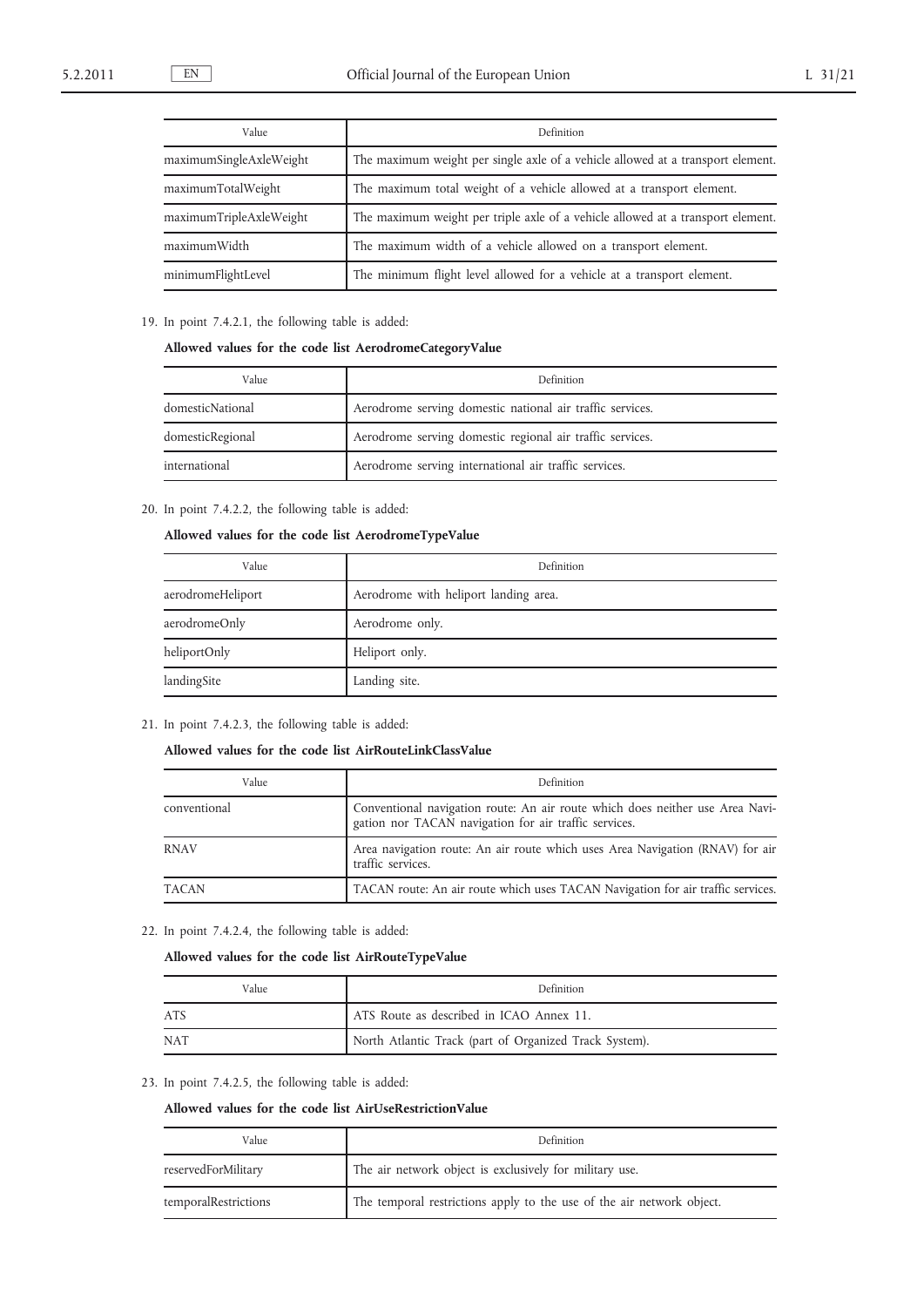| Value                   | Definition                                                                      |
|-------------------------|---------------------------------------------------------------------------------|
| maximumSingleAxleWeight | The maximum weight per single axle of a vehicle allowed at a transport element. |
| maximumTotalWeight      | The maximum total weight of a vehicle allowed at a transport element.           |
| maximumTripleAxleWeight | The maximum weight per triple axle of a vehicle allowed at a transport element. |
| maximumWidth            | The maximum width of a vehicle allowed on a transport element.                  |
| minimumFlightLevel      | The minimum flight level allowed for a vehicle at a transport element.          |

19. In point 7.4.2.1, the following table is added:

## **Allowed values for the code list AerodromeCategoryValue**

| Value            | Definition                                                |
|------------------|-----------------------------------------------------------|
| domesticNational | Aerodrome serving domestic national air traffic services. |
| domesticRegional | Aerodrome serving domestic regional air traffic services. |
| international    | Aerodrome serving international air traffic services.     |

20. In point 7.4.2.2, the following table is added:

### **Allowed values for the code list AerodromeTypeValue**

| Value             | Definition                            |
|-------------------|---------------------------------------|
| aerodromeHeliport | Aerodrome with heliport landing area. |
| aerodromeOnly     | Aerodrome only.                       |
| heliportOnly      | Heliport only.                        |
| landingSite       | Landing site.                         |

21. In point 7.4.2.3, the following table is added:

## **Allowed values for the code list AirRouteLinkClassValue**

| Value        | Definition                                                                                                                             |
|--------------|----------------------------------------------------------------------------------------------------------------------------------------|
| conventional | Conventional navigation route: An air route which does neither use Area Navi-<br>gation nor TACAN navigation for air traffic services. |
| <b>RNAV</b>  | Area navigation route: An air route which uses Area Navigation (RNAV) for air<br>traffic services.                                     |
| <b>TACAN</b> | TACAN route: An air route which uses TACAN Navigation for air traffic services.                                                        |

22. In point 7.4.2.4, the following table is added:

# **Allowed values for the code list AirRouteTypeValue**

| Value      | Definition                                             |
|------------|--------------------------------------------------------|
| <b>ATS</b> | ATS Route as described in ICAO Annex 11.               |
| <b>NAT</b> | North Atlantic Track (part of Organized Track System). |

23. In point 7.4.2.5, the following table is added:

### **Allowed values for the code list AirUseRestrictionValue**

| Value                | Definition                                                            |
|----------------------|-----------------------------------------------------------------------|
| reservedForMilitary  | The air network object is exclusively for military use.               |
| temporalRestrictions | The temporal restrictions apply to the use of the air network object. |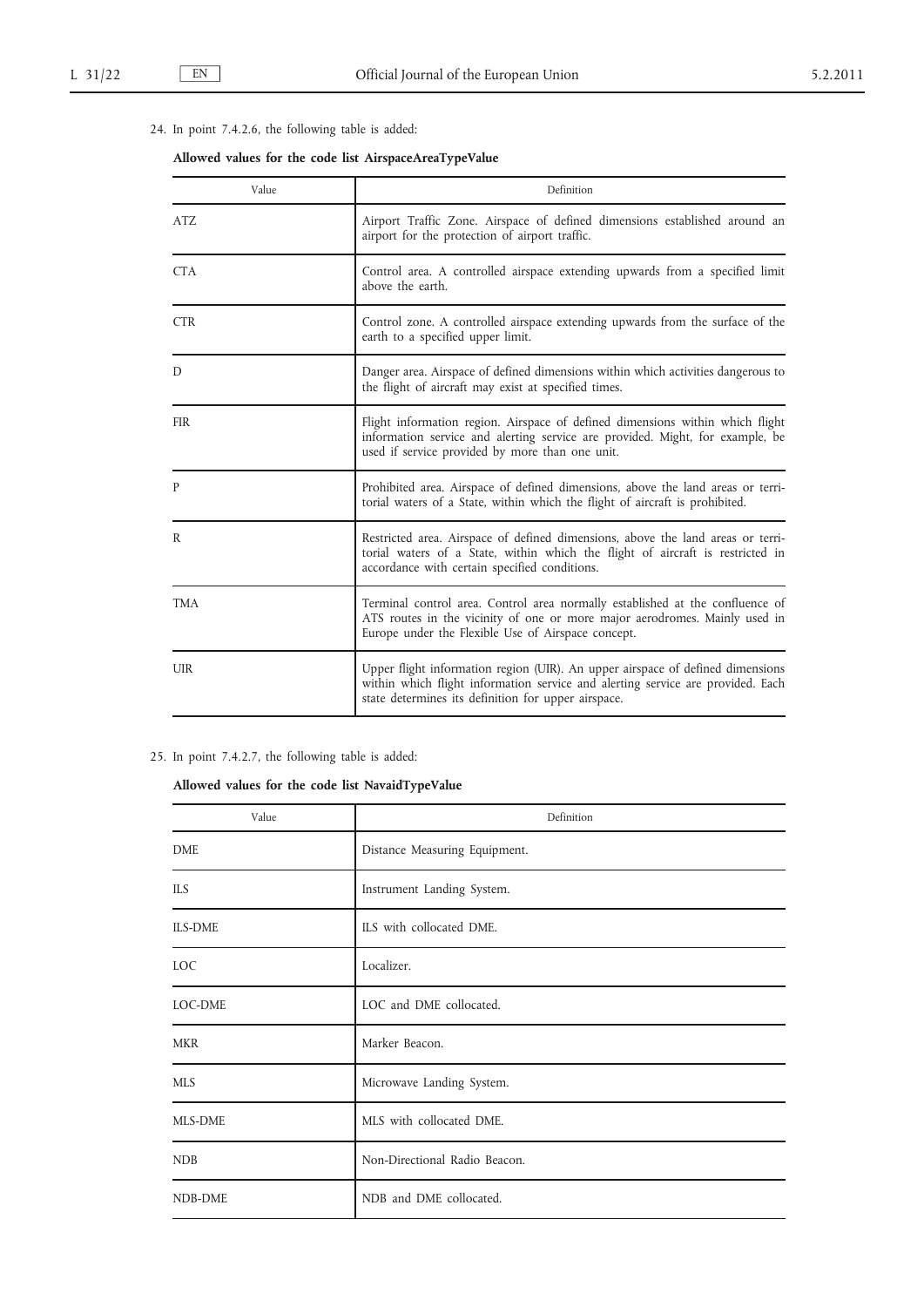# 24. In point 7.4.2.6, the following table is added:

# **Allowed values for the code list AirspaceAreaTypeValue**

| Value      | Definition                                                                                                                                                                                                               |
|------------|--------------------------------------------------------------------------------------------------------------------------------------------------------------------------------------------------------------------------|
| ATZ        | Airport Traffic Zone. Airspace of defined dimensions established around an<br>airport for the protection of airport traffic.                                                                                             |
| <b>CTA</b> | Control area. A controlled airspace extending upwards from a specified limit<br>above the earth.                                                                                                                         |
| <b>CTR</b> | Control zone. A controlled airspace extending upwards from the surface of the<br>earth to a specified upper limit.                                                                                                       |
| D          | Danger area. Airspace of defined dimensions within which activities dangerous to<br>the flight of aircraft may exist at specified times.                                                                                 |
| <b>FIR</b> | Flight information region. Airspace of defined dimensions within which flight<br>information service and alerting service are provided. Might, for example, be<br>used if service provided by more than one unit.        |
| P          | Prohibited area. Airspace of defined dimensions, above the land areas or terri-<br>torial waters of a State, within which the flight of aircraft is prohibited.                                                          |
| R          | Restricted area. Airspace of defined dimensions, above the land areas or terri-<br>torial waters of a State, within which the flight of aircraft is restricted in<br>accordance with certain specified conditions.       |
| <b>TMA</b> | Terminal control area. Control area normally established at the confluence of<br>ATS routes in the vicinity of one or more major aerodromes. Mainly used in<br>Europe under the Flexible Use of Airspace concept.        |
| <b>UIR</b> | Upper flight information region (UIR). An upper airspace of defined dimensions<br>within which flight information service and alerting service are provided. Each<br>state determines its definition for upper airspace. |

# 25. In point 7.4.2.7, the following table is added:

# **Allowed values for the code list NavaidTypeValue**

| Value          | Definition                    |
|----------------|-------------------------------|
| DME            | Distance Measuring Equipment. |
| <b>ILS</b>     | Instrument Landing System.    |
| <b>ILS-DME</b> | ILS with collocated DME.      |
| LOC            | Localizer.                    |
| LOC-DME        | LOC and DME collocated.       |
| <b>MKR</b>     | Marker Beacon.                |
| <b>MLS</b>     | Microwave Landing System.     |
| MLS-DME        | MLS with collocated DME.      |
| <b>NDB</b>     | Non-Directional Radio Beacon. |
| NDB-DME        | NDB and DME collocated.       |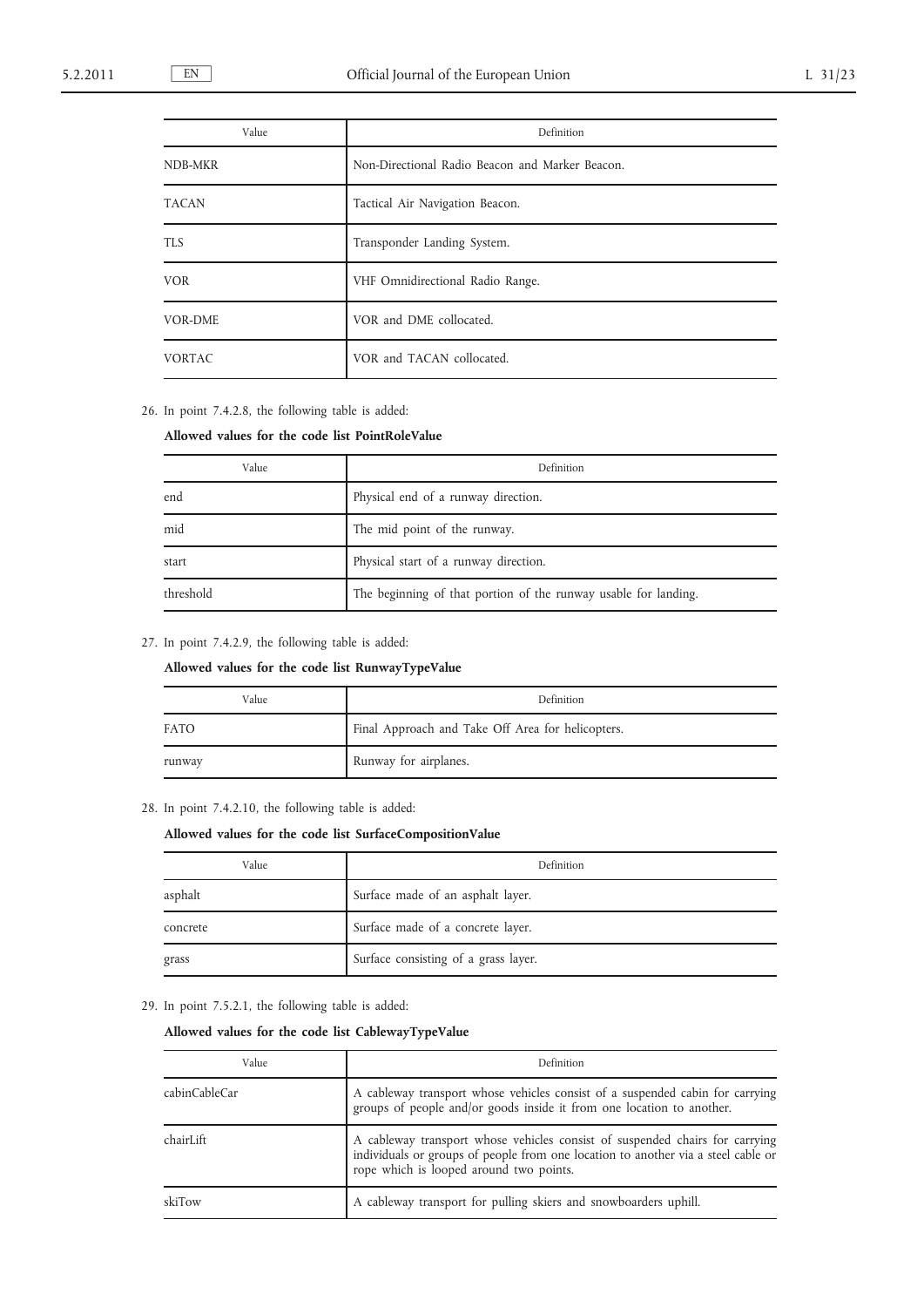| Value          | Definition                                      |
|----------------|-------------------------------------------------|
| NDB-MKR        | Non-Directional Radio Beacon and Marker Beacon. |
| <b>TACAN</b>   | Tactical Air Navigation Beacon.                 |
| TLS            | Transponder Landing System.                     |
| <b>VOR</b>     | VHF Omnidirectional Radio Range.                |
| <b>VOR-DME</b> | VOR and DME collocated.                         |
| <b>VORTAC</b>  | VOR and TACAN collocated.                       |

26. In point 7.4.2.8, the following table is added:

### **Allowed values for the code list PointRoleValue**

| Value     | Definition                                                      |
|-----------|-----------------------------------------------------------------|
| end       | Physical end of a runway direction.                             |
| mid       | The mid point of the runway.                                    |
| start     | Physical start of a runway direction.                           |
| threshold | The beginning of that portion of the runway usable for landing. |

27. In point 7.4.2.9, the following table is added:

**Allowed values for the code list RunwayTypeValue**

| Value       | Definition                                        |
|-------------|---------------------------------------------------|
| <b>FATO</b> | Final Approach and Take Off Area for helicopters. |
| runway      | Runway for airplanes.                             |

28. In point 7.4.2.10, the following table is added:

# **Allowed values for the code list SurfaceCompositionValue**

| Value    | Definition                           |
|----------|--------------------------------------|
| asphalt  | Surface made of an asphalt layer.    |
| concrete | Surface made of a concrete layer.    |
| grass    | Surface consisting of a grass layer. |

### 29. In point 7.5.2.1, the following table is added:

# **Allowed values for the code list CablewayTypeValue**

| Value         | Definition                                                                                                                                                                                                   |
|---------------|--------------------------------------------------------------------------------------------------------------------------------------------------------------------------------------------------------------|
| cabinCableCar | A cableway transport whose vehicles consist of a suspended cabin for carrying<br>groups of people and/or goods inside it from one location to another.                                                       |
| chairLift     | A cableway transport whose vehicles consist of suspended chairs for carrying<br>individuals or groups of people from one location to another via a steel cable or<br>rope which is looped around two points. |
| skiTow        | A cableway transport for pulling skiers and snowboarders uphill.                                                                                                                                             |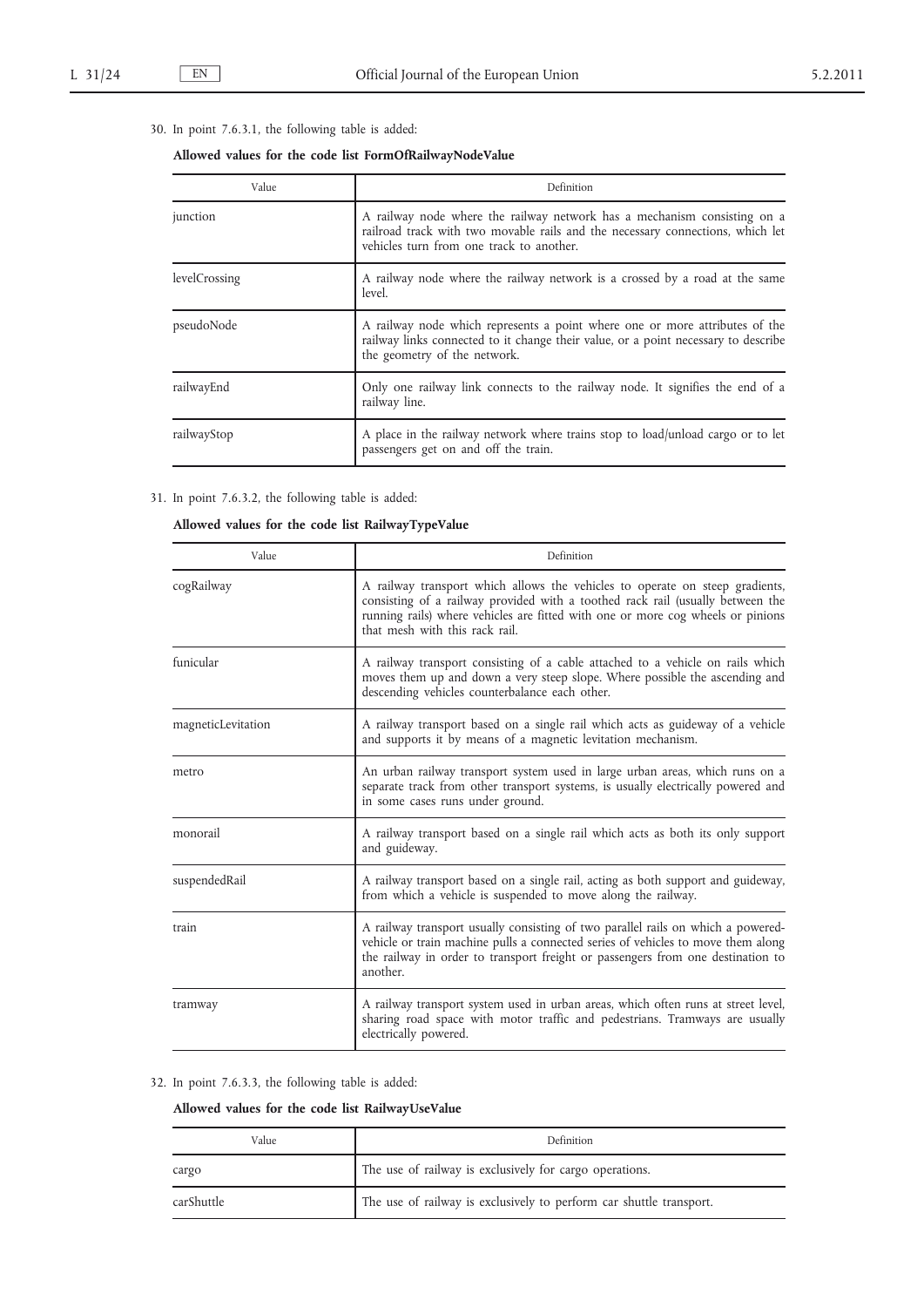# 30. In point 7.6.3.1, the following table is added:

## **Allowed values for the code list FormOfRailwayNodeValue**

| Value         | Definition                                                                                                                                                                                             |
|---------------|--------------------------------------------------------------------------------------------------------------------------------------------------------------------------------------------------------|
| junction      | A railway node where the railway network has a mechanism consisting on a<br>railroad track with two movable rails and the necessary connections, which let<br>vehicles turn from one track to another. |
| levelCrossing | A railway node where the railway network is a crossed by a road at the same<br>level.                                                                                                                  |
| pseudoNode    | A railway node which represents a point where one or more attributes of the<br>railway links connected to it change their value, or a point necessary to describe<br>the geometry of the network.      |
| railwayEnd    | Only one railway link connects to the railway node. It signifies the end of a<br>railway line.                                                                                                         |
| railwayStop   | A place in the railway network where trains stop to load/unload cargo or to let<br>passengers get on and off the train.                                                                                |

# 31. In point 7.6.3.2, the following table is added:

# **Allowed values for the code list RailwayTypeValue**

| Value              | Definition                                                                                                                                                                                                                                                                          |
|--------------------|-------------------------------------------------------------------------------------------------------------------------------------------------------------------------------------------------------------------------------------------------------------------------------------|
| cogRailway         | A railway transport which allows the vehicles to operate on steep gradients,<br>consisting of a railway provided with a toothed rack rail (usually between the<br>running rails) where vehicles are fitted with one or more cog wheels or pinions<br>that mesh with this rack rail. |
| funicular          | A railway transport consisting of a cable attached to a vehicle on rails which<br>moves them up and down a very steep slope. Where possible the ascending and<br>descending vehicles counterbalance each other.                                                                     |
| magneticLevitation | A railway transport based on a single rail which acts as guideway of a vehicle<br>and supports it by means of a magnetic levitation mechanism.                                                                                                                                      |
| metro              | An urban railway transport system used in large urban areas, which runs on a<br>separate track from other transport systems, is usually electrically powered and<br>in some cases runs under ground.                                                                                |
| monorail           | A railway transport based on a single rail which acts as both its only support<br>and guideway.                                                                                                                                                                                     |
| suspendedRail      | A railway transport based on a single rail, acting as both support and guideway,<br>from which a vehicle is suspended to move along the railway.                                                                                                                                    |
| train              | A railway transport usually consisting of two parallel rails on which a powered-<br>vehicle or train machine pulls a connected series of vehicles to move them along<br>the railway in order to transport freight or passengers from one destination to<br>another.                 |
| tramway            | A railway transport system used in urban areas, which often runs at street level,<br>sharing road space with motor traffic and pedestrians. Tramways are usually<br>electrically powered.                                                                                           |

## 32. In point 7.6.3.3, the following table is added:

# **Allowed values for the code list RailwayUseValue**

| Value      | Definition                                                          |
|------------|---------------------------------------------------------------------|
| cargo      | The use of railway is exclusively for cargo operations.             |
| carShuttle | The use of railway is exclusively to perform car shuttle transport. |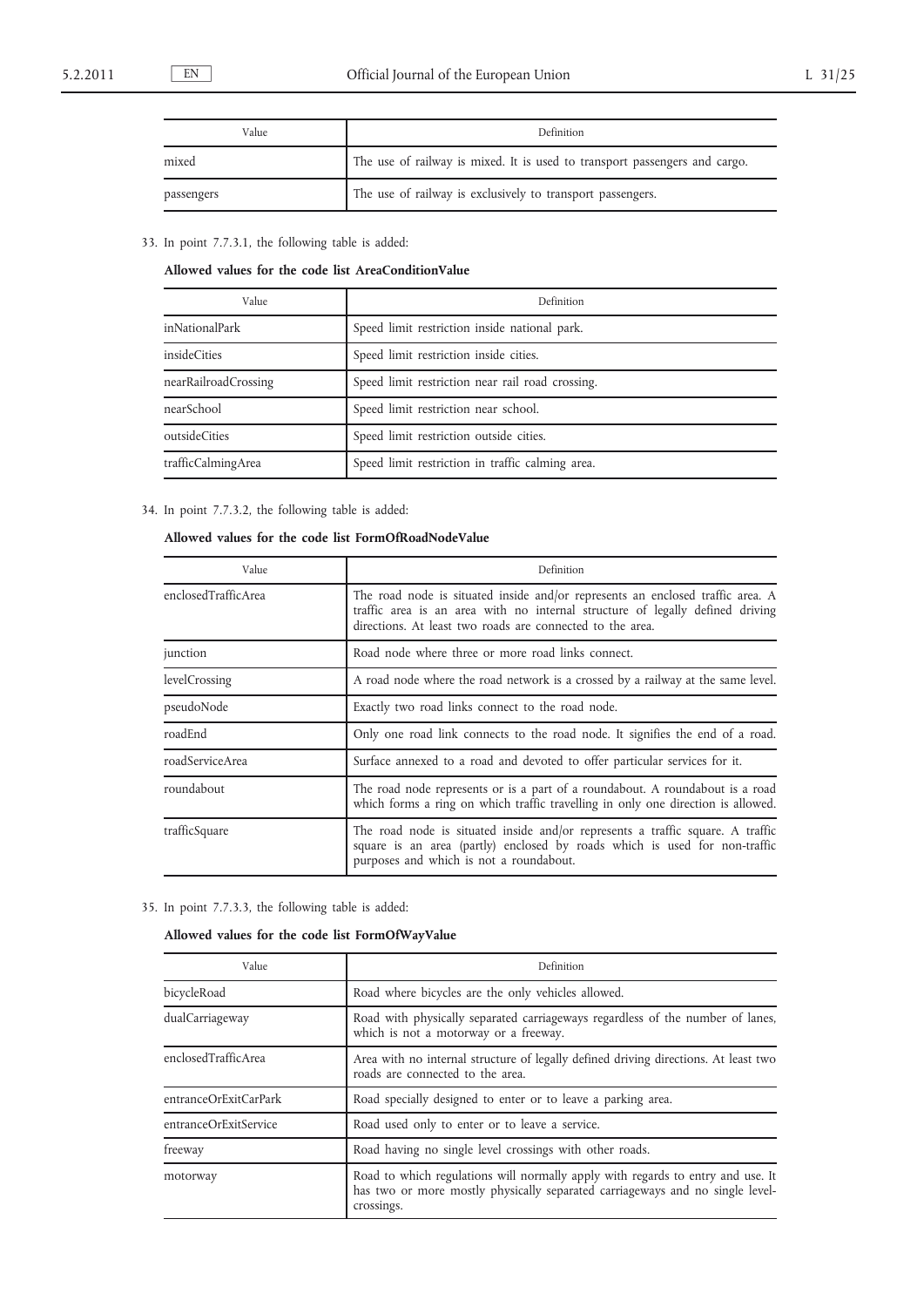| Value      | Definition                                                                 |
|------------|----------------------------------------------------------------------------|
| mixed      | The use of railway is mixed. It is used to transport passengers and cargo. |
| passengers | The use of railway is exclusively to transport passengers.                 |

33. In point 7.7.3.1, the following table is added:

**Allowed values for the code list AreaConditionValue**

| Value                | Definition                                       |
|----------------------|--------------------------------------------------|
| inNationalPark       | Speed limit restriction inside national park.    |
| insideCities         | Speed limit restriction inside cities.           |
| nearRailroadCrossing | Speed limit restriction near rail road crossing. |
| nearSchool           | Speed limit restriction near school.             |
| outsideCities        | Speed limit restriction outside cities.          |
| trafficCalmingArea   | Speed limit restriction in traffic calming area. |

34. In point 7.7.3.2, the following table is added:

# **Allowed values for the code list FormOfRoadNodeValue**

| Value               | Definition                                                                                                                                                                                                                   |
|---------------------|------------------------------------------------------------------------------------------------------------------------------------------------------------------------------------------------------------------------------|
| enclosedTrafficArea | The road node is situated inside and/or represents an enclosed traffic area. A<br>traffic area is an area with no internal structure of legally defined driving<br>directions. At least two roads are connected to the area. |
| junction            | Road node where three or more road links connect.                                                                                                                                                                            |
| levelCrossing       | A road node where the road network is a crossed by a railway at the same level.                                                                                                                                              |
| pseudoNode          | Exactly two road links connect to the road node.                                                                                                                                                                             |
| roadEnd             | Only one road link connects to the road node. It signifies the end of a road.                                                                                                                                                |
| roadServiceArea     | Surface annexed to a road and devoted to offer particular services for it.                                                                                                                                                   |
| roundabout          | The road node represents or is a part of a roundabout. A roundabout is a road<br>which forms a ring on which traffic travelling in only one direction is allowed.                                                            |
| trafficSquare       | The road node is situated inside and/or represents a traffic square. A traffic<br>square is an area (partly) enclosed by roads which is used for non-traffic<br>purposes and which is not a roundabout.                      |

35. In point 7.7.3.3, the following table is added:

## **Allowed values for the code list FormOfWayValue**

| Value                 | Definition                                                                                                                                                                     |
|-----------------------|--------------------------------------------------------------------------------------------------------------------------------------------------------------------------------|
| bicycleRoad           | Road where bicycles are the only vehicles allowed.                                                                                                                             |
| dualCarriageway       | Road with physically separated carriageways regardless of the number of lanes,<br>which is not a motorway or a freeway.                                                        |
| enclosedTrafficArea   | Area with no internal structure of legally defined driving directions. At least two<br>roads are connected to the area.                                                        |
| entranceOrExitCarPark | Road specially designed to enter or to leave a parking area.                                                                                                                   |
| entranceOrExitService | Road used only to enter or to leave a service.                                                                                                                                 |
| freeway               | Road having no single level crossings with other roads.                                                                                                                        |
| motorway              | Road to which regulations will normally apply with regards to entry and use. It<br>has two or more mostly physically separated carriageways and no single level-<br>crossings. |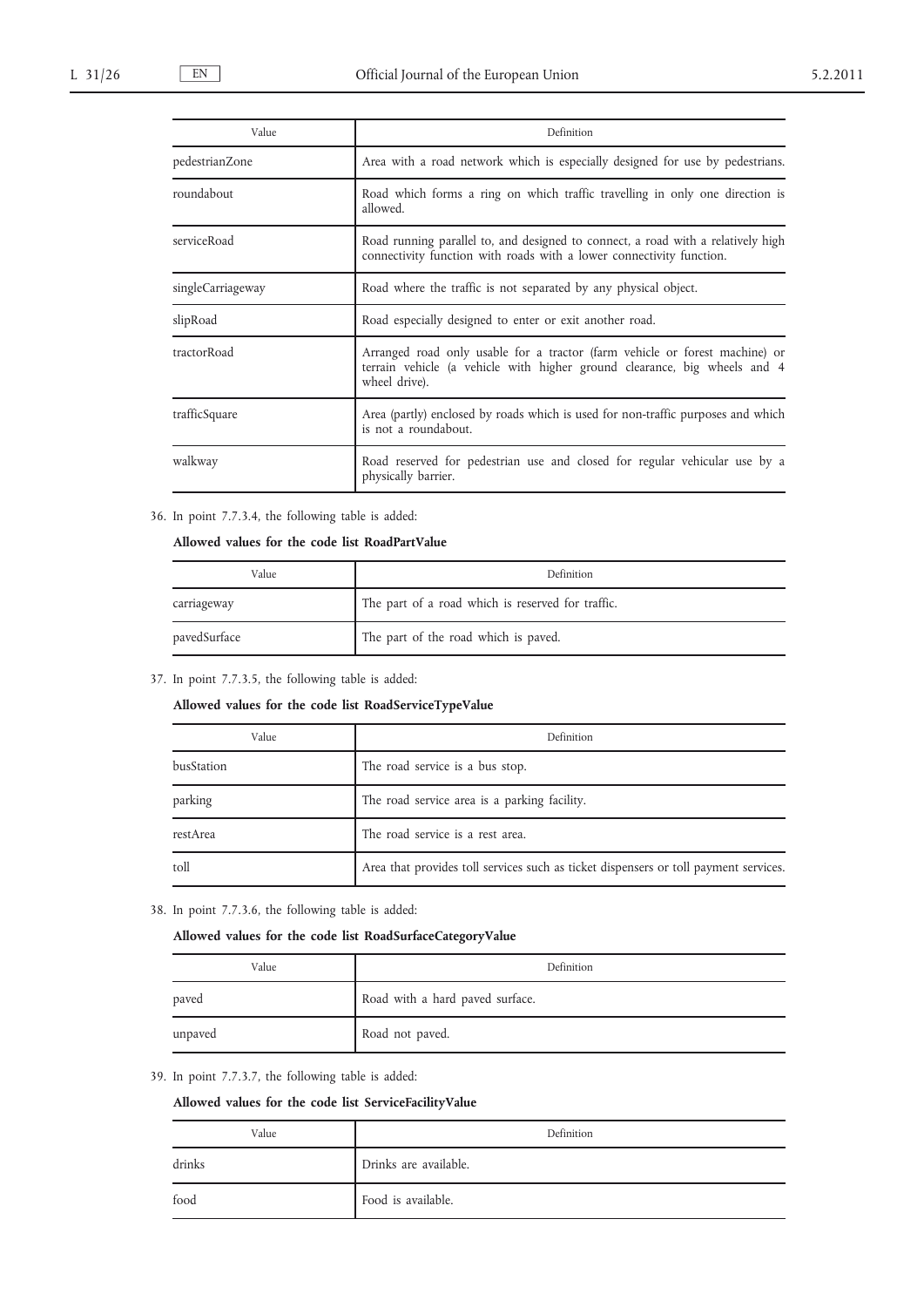| Value             | Definition                                                                                                                                                                |
|-------------------|---------------------------------------------------------------------------------------------------------------------------------------------------------------------------|
| pedestrianZone    | Area with a road network which is especially designed for use by pedestrians.                                                                                             |
| roundabout        | Road which forms a ring on which traffic travelling in only one direction is<br>allowed.                                                                                  |
| serviceRoad       | Road running parallel to, and designed to connect, a road with a relatively high<br>connectivity function with roads with a lower connectivity function.                  |
| singleCarriageway | Road where the traffic is not separated by any physical object.                                                                                                           |
| slipRoad          | Road especially designed to enter or exit another road.                                                                                                                   |
| tractorRoad       | Arranged road only usable for a tractor (farm vehicle or forest machine) or<br>terrain vehicle (a vehicle with higher ground clearance, big wheels and 4<br>wheel drive). |
| trafficSquare     | Area (partly) enclosed by roads which is used for non-traffic purposes and which<br>is not a roundabout.                                                                  |
| walkway           | Road reserved for pedestrian use and closed for regular vehicular use by a<br>physically barrier.                                                                         |

# 36. In point 7.7.3.4, the following table is added:

**Allowed values for the code list RoadPartValue**

| Value        | Definition                                        |
|--------------|---------------------------------------------------|
| carriageway  | The part of a road which is reserved for traffic. |
| pavedSurface | The part of the road which is paved.              |

### 37. In point 7.7.3.5, the following table is added:

## **Allowed values for the code list RoadServiceTypeValue**

| Value      | Definition                                                                           |
|------------|--------------------------------------------------------------------------------------|
| busStation | The road service is a bus stop.                                                      |
| parking    | The road service area is a parking facility.                                         |
| restArea   | The road service is a rest area.                                                     |
| toll       | Area that provides toll services such as ticket dispensers or toll payment services. |

38. In point 7.7.3.6, the following table is added:

### **Allowed values for the code list RoadSurfaceCategoryValue**

| Value   | Definition                      |
|---------|---------------------------------|
| paved   | Road with a hard paved surface. |
| unpaved | Road not paved.                 |

## 39. In point 7.7.3.7, the following table is added:

## **Allowed values for the code list ServiceFacilityValue**

| Value  | Definition            |
|--------|-----------------------|
| drinks | Drinks are available. |
| food   | Food is available.    |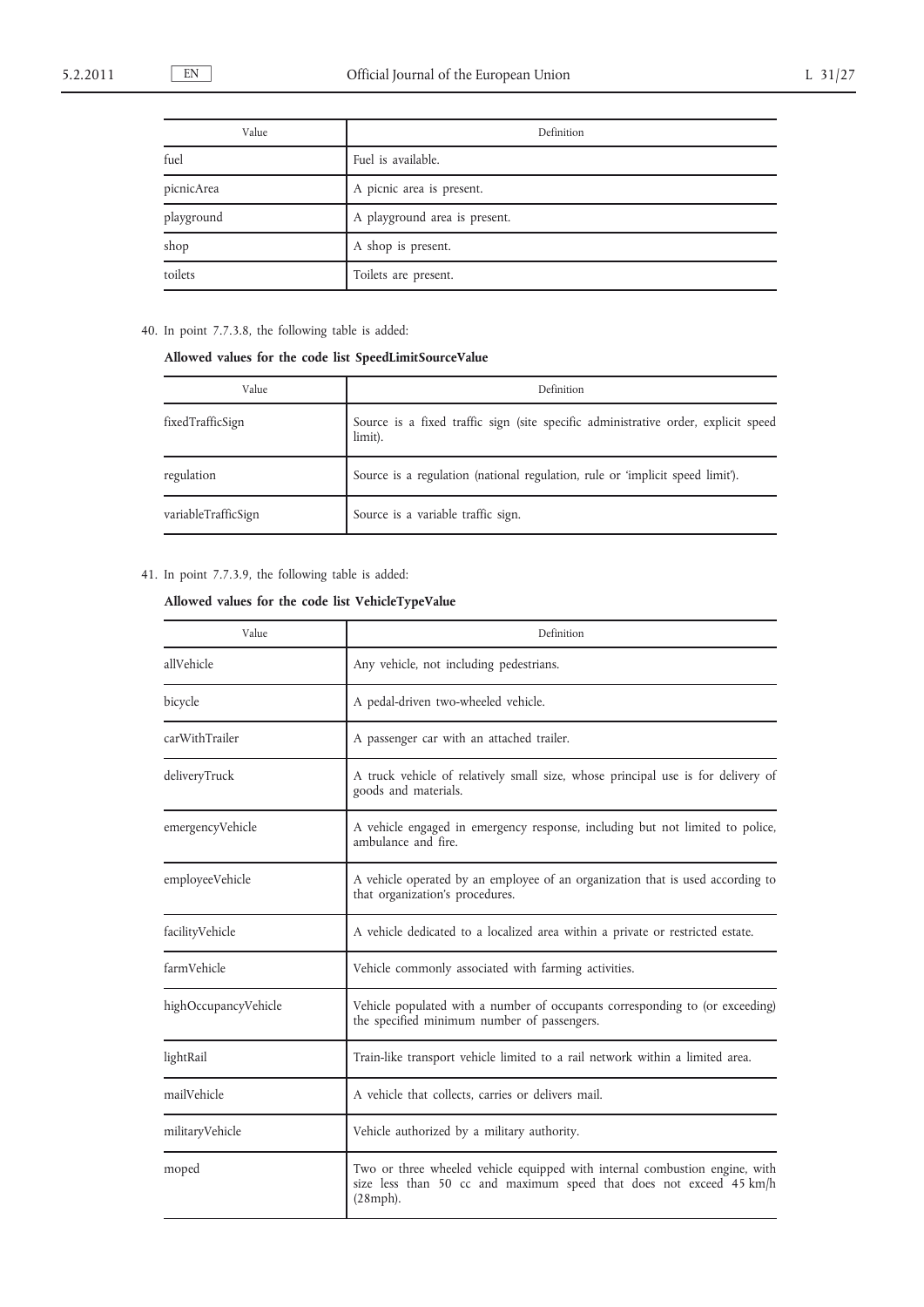| Value      | Definition                    |
|------------|-------------------------------|
| fuel       | Fuel is available.            |
| picnicArea | A picnic area is present.     |
| playground | A playground area is present. |
| shop       | A shop is present.            |
| toilets    | Toilets are present.          |

# 40. In point 7.7.3.8, the following table is added:

# **Allowed values for the code list SpeedLimitSourceValue**

| Value               | Definition                                                                                    |
|---------------------|-----------------------------------------------------------------------------------------------|
| fixedTrafficSign    | Source is a fixed traffic sign (site specific administrative order, explicit speed<br>limit). |
| regulation          | Source is a regulation (national regulation, rule or 'implicit speed limit').                 |
| variableTrafficSign | Source is a variable traffic sign.                                                            |

# 41. In point 7.7.3.9, the following table is added:

# **Allowed values for the code list VehicleTypeValue**

| Value                | Definition                                                                                                                                                     |
|----------------------|----------------------------------------------------------------------------------------------------------------------------------------------------------------|
| allVehicle           | Any vehicle, not including pedestrians.                                                                                                                        |
| bicycle              | A pedal-driven two-wheeled vehicle.                                                                                                                            |
| carWithTrailer       | A passenger car with an attached trailer.                                                                                                                      |
| deliveryTruck        | A truck vehicle of relatively small size, whose principal use is for delivery of<br>goods and materials.                                                       |
| emergencyVehicle     | A vehicle engaged in emergency response, including but not limited to police,<br>ambulance and fire.                                                           |
| employeeVehicle      | A vehicle operated by an employee of an organization that is used according to<br>that organization's procedures.                                              |
| facilityVehicle      | A vehicle dedicated to a localized area within a private or restricted estate.                                                                                 |
| farmVehicle          | Vehicle commonly associated with farming activities.                                                                                                           |
| highOccupancyVehicle | Vehicle populated with a number of occupants corresponding to (or exceeding)<br>the specified minimum number of passengers.                                    |
| lightRail            | Train-like transport vehicle limited to a rail network within a limited area.                                                                                  |
| mailVehicle          | A vehicle that collects, carries or delivers mail.                                                                                                             |
| militaryVehicle      | Vehicle authorized by a military authority.                                                                                                                    |
| moped                | Two or three wheeled vehicle equipped with internal combustion engine, with<br>size less than 50 cc and maximum speed that does not exceed 45 km/h<br>(28mph). |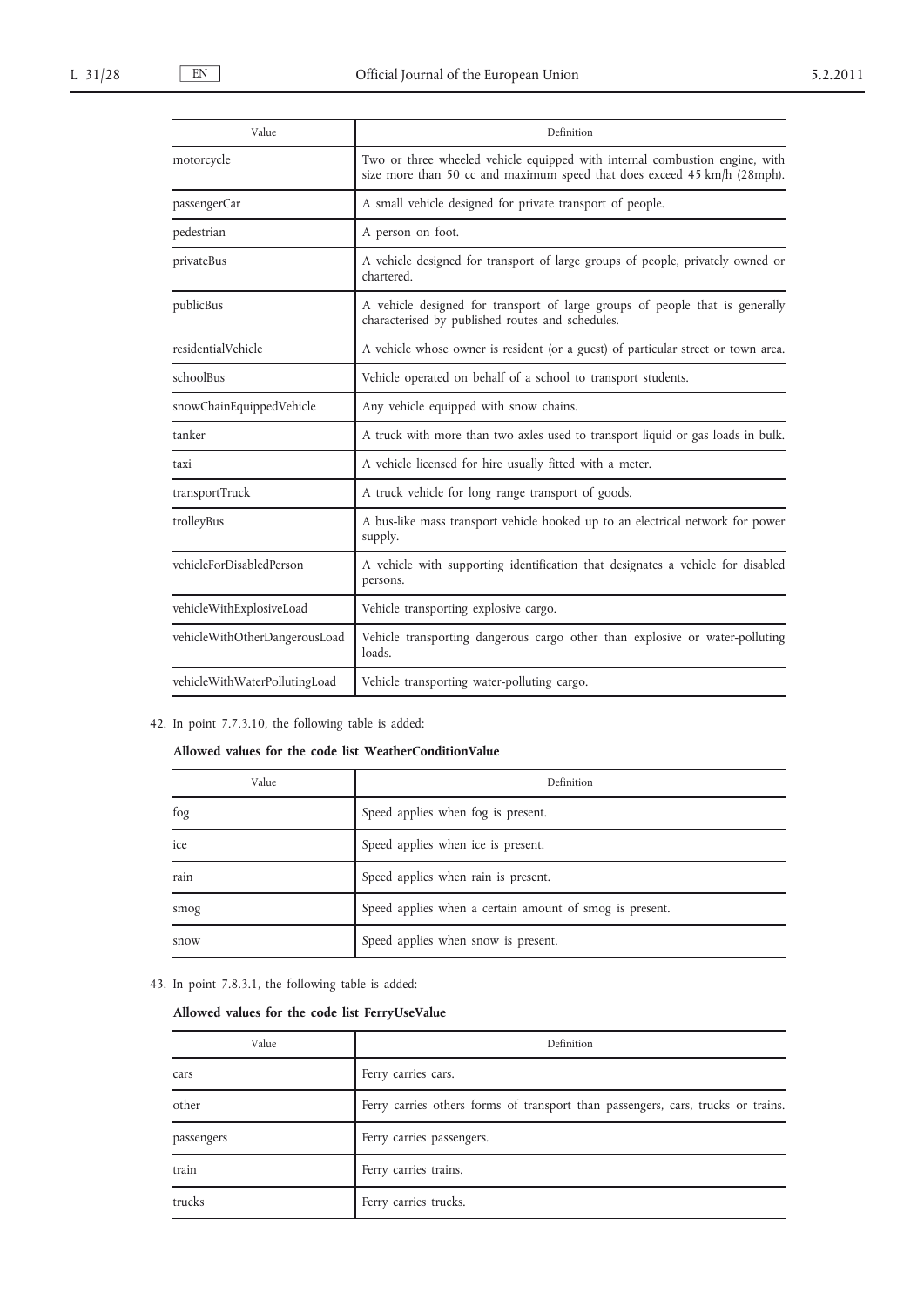| Value                         | Definition                                                                                                                                              |
|-------------------------------|---------------------------------------------------------------------------------------------------------------------------------------------------------|
| motorcycle                    | Two or three wheeled vehicle equipped with internal combustion engine, with<br>size more than 50 cc and maximum speed that does exceed 45 km/h (28mph). |
| passengerCar                  | A small vehicle designed for private transport of people.                                                                                               |
| pedestrian                    | A person on foot.                                                                                                                                       |
| privateBus                    | A vehicle designed for transport of large groups of people, privately owned or<br>chartered.                                                            |
| publicBus                     | A vehicle designed for transport of large groups of people that is generally<br>characterised by published routes and schedules.                        |
| residentialVehicle            | A vehicle whose owner is resident (or a guest) of particular street or town area.                                                                       |
| schoolBus                     | Vehicle operated on behalf of a school to transport students.                                                                                           |
| snowChainEquippedVehicle      | Any vehicle equipped with snow chains.                                                                                                                  |
| tanker                        | A truck with more than two axles used to transport liquid or gas loads in bulk.                                                                         |
| taxi                          | A vehicle licensed for hire usually fitted with a meter.                                                                                                |
| transportTruck                | A truck vehicle for long range transport of goods.                                                                                                      |
| trolleyBus                    | A bus-like mass transport vehicle hooked up to an electrical network for power<br>supply.                                                               |
| vehicleForDisabledPerson      | A vehicle with supporting identification that designates a vehicle for disabled<br>persons.                                                             |
| vehicleWithExplosiveLoad      | Vehicle transporting explosive cargo.                                                                                                                   |
| vehicleWithOtherDangerousLoad | Vehicle transporting dangerous cargo other than explosive or water-polluting<br>loads.                                                                  |
| vehicleWithWaterPollutingLoad | Vehicle transporting water-polluting cargo.                                                                                                             |

## 42. In point 7.7.3.10, the following table is added:

## **Allowed values for the code list WeatherConditionValue**

| Value | Definition                                              |
|-------|---------------------------------------------------------|
| fog   | Speed applies when fog is present.                      |
| ice   | Speed applies when ice is present.                      |
| rain  | Speed applies when rain is present.                     |
| smog  | Speed applies when a certain amount of smog is present. |
| snow  | Speed applies when snow is present.                     |

43. In point 7.8.3.1, the following table is added:

# **Allowed values for the code list FerryUseValue**

| Value      | Definition                                                                       |
|------------|----------------------------------------------------------------------------------|
| cars       | Ferry carries cars.                                                              |
| other      | Ferry carries others forms of transport than passengers, cars, trucks or trains. |
| passengers | Ferry carries passengers.                                                        |
| train      | Ferry carries trains.                                                            |
| trucks     | Ferry carries trucks.                                                            |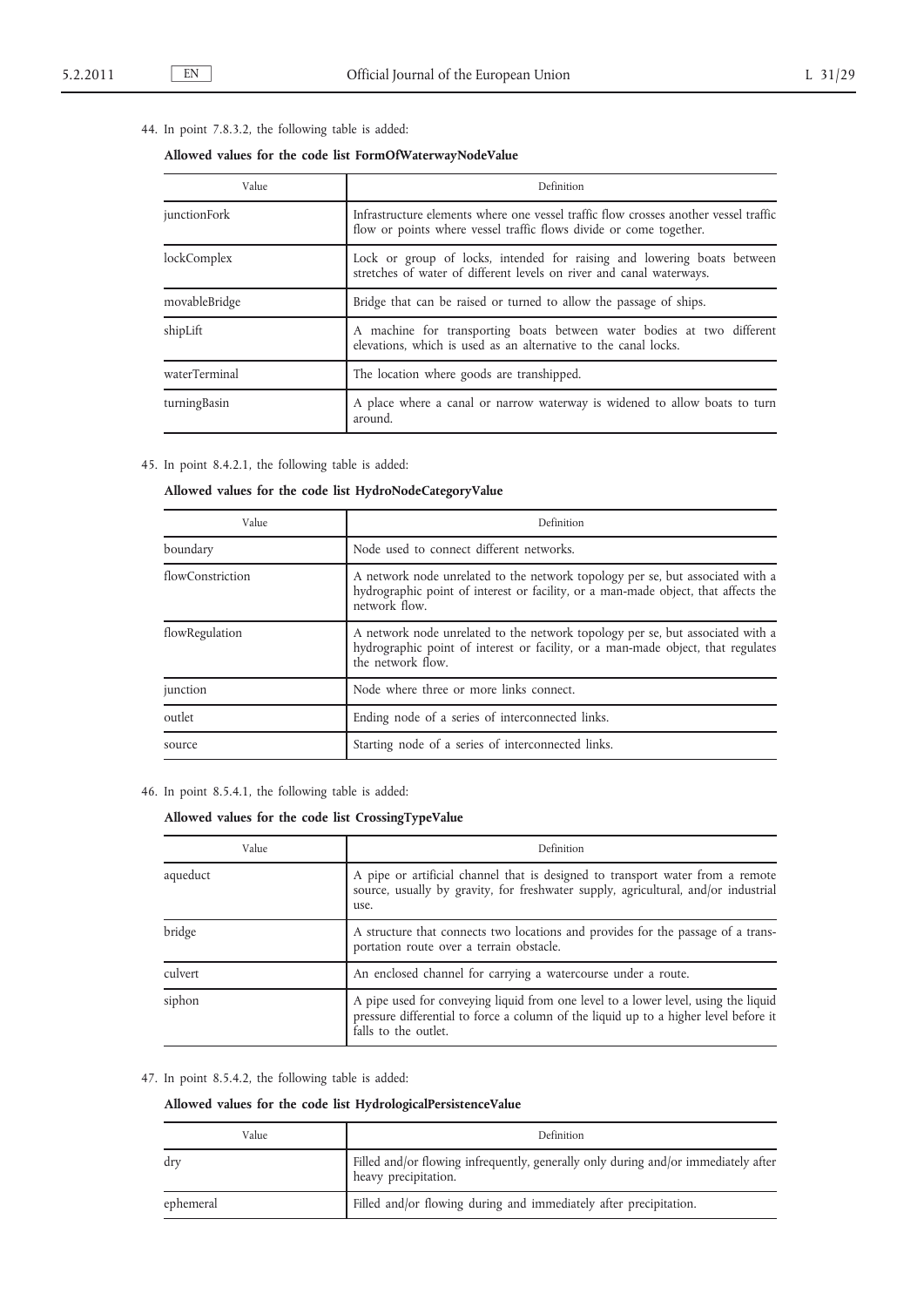## 44. In point 7.8.3.2, the following table is added:

## **Allowed values for the code list FormOfWaterwayNodeValue**

| Value         | Definition                                                                                                                                                 |
|---------------|------------------------------------------------------------------------------------------------------------------------------------------------------------|
| junctionFork  | Infrastructure elements where one vessel traffic flow crosses another vessel traffic<br>flow or points where vessel traffic flows divide or come together. |
| lockComplex   | Lock or group of locks, intended for raising and lowering boats between<br>stretches of water of different levels on river and canal waterways.            |
| movableBridge | Bridge that can be raised or turned to allow the passage of ships.                                                                                         |
| shipLift      | A machine for transporting boats between water bodies at two different<br>elevations, which is used as an alternative to the canal locks.                  |
| waterTerminal | The location where goods are transhipped.                                                                                                                  |
| turningBasin  | A place where a canal or narrow waterway is widened to allow boats to turn<br>around.                                                                      |

## 45. In point 8.4.2.1, the following table is added:

## **Allowed values for the code list HydroNodeCategoryValue**

| Value            | Definition                                                                                                                                                                              |
|------------------|-----------------------------------------------------------------------------------------------------------------------------------------------------------------------------------------|
| boundary         | Node used to connect different networks.                                                                                                                                                |
| flowConstriction | A network node unrelated to the network topology per se, but associated with a<br>hydrographic point of interest or facility, or a man-made object, that affects the<br>network flow.   |
| flowRegulation   | A network node unrelated to the network topology per se, but associated with a<br>hydrographic point of interest or facility, or a man-made object, that regulates<br>the network flow. |
| junction         | Node where three or more links connect.                                                                                                                                                 |
| outlet           | Ending node of a series of interconnected links.                                                                                                                                        |
| source           | Starting node of a series of interconnected links.                                                                                                                                      |

### 46. In point 8.5.4.1, the following table is added:

## **Allowed values for the code list CrossingTypeValue**

| Value    | Definition                                                                                                                                                                                         |
|----------|----------------------------------------------------------------------------------------------------------------------------------------------------------------------------------------------------|
| aqueduct | A pipe or artificial channel that is designed to transport water from a remote<br>source, usually by gravity, for freshwater supply, agricultural, and/or industrial<br>use.                       |
| bridge   | A structure that connects two locations and provides for the passage of a trans-<br>portation route over a terrain obstacle.                                                                       |
| culvert  | An enclosed channel for carrying a watercourse under a route.                                                                                                                                      |
| siphon   | A pipe used for conveying liquid from one level to a lower level, using the liquid<br>pressure differential to force a column of the liquid up to a higher level before it<br>falls to the outlet. |

## 47. In point 8.5.4.2, the following table is added:

# **Allowed values for the code list HydrologicalPersistenceValue**

| Value     | Definition                                                                                                 |
|-----------|------------------------------------------------------------------------------------------------------------|
| dry       | Filled and/or flowing infrequently, generally only during and/or immediately after<br>heavy precipitation. |
| ephemeral | Filled and/or flowing during and immediately after precipitation.                                          |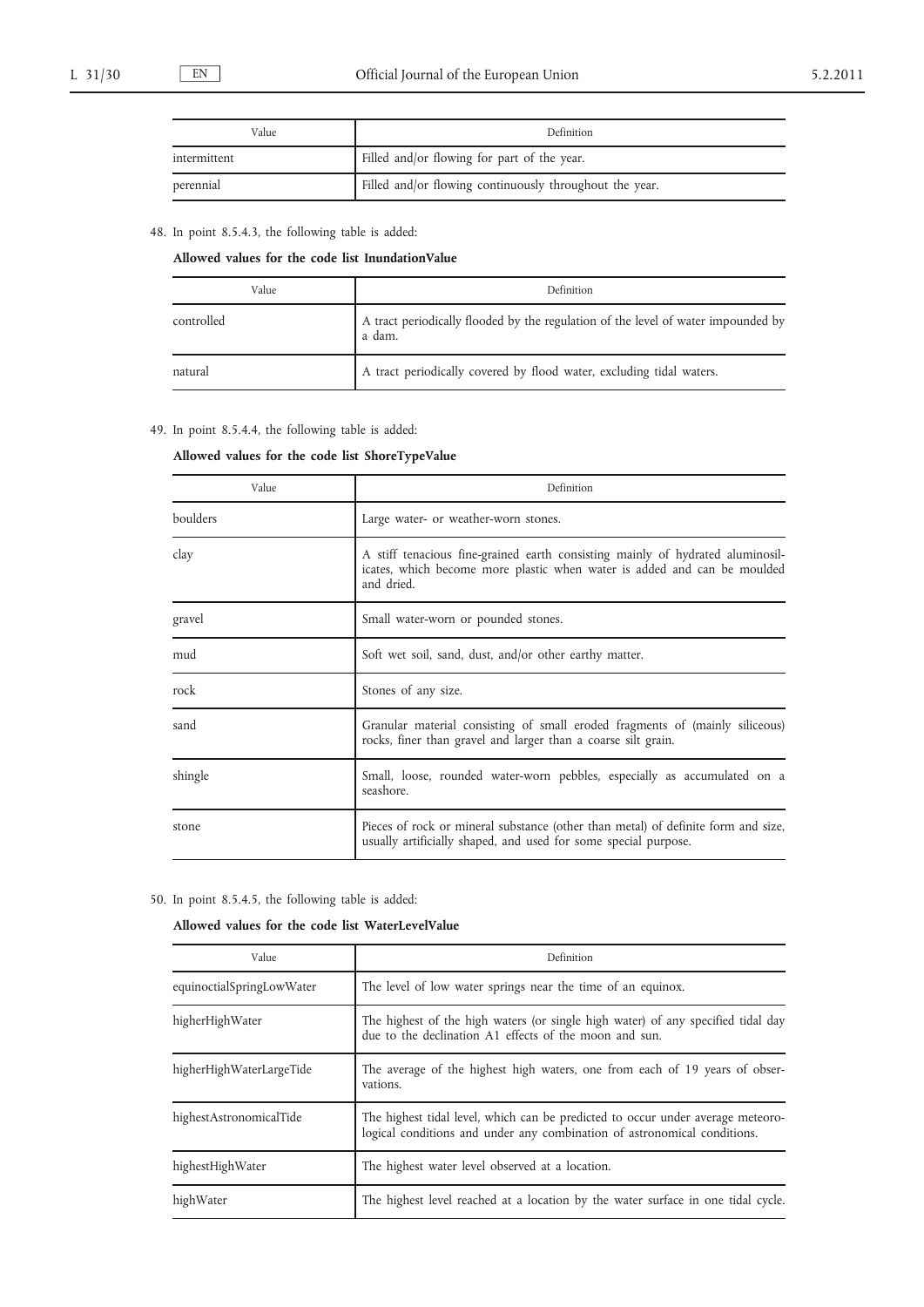| Value        | <b>Definition</b>                                       |
|--------------|---------------------------------------------------------|
| intermittent | Filled and/or flowing for part of the year.             |
| perennial    | Filled and/or flowing continuously throughout the year. |

# 48. In point 8.5.4.3, the following table is added:

## **Allowed values for the code list InundationValue**

| Value      | Definition                                                                                  |
|------------|---------------------------------------------------------------------------------------------|
| controlled | A tract periodically flooded by the regulation of the level of water impounded by<br>a dam. |
| natural    | A tract periodically covered by flood water, excluding tidal waters.                        |

# 49. In point 8.5.4.4, the following table is added:

## **Allowed values for the code list ShoreTypeValue**

| Value    | Definition                                                                                                                                                               |
|----------|--------------------------------------------------------------------------------------------------------------------------------------------------------------------------|
| boulders | Large water- or weather-worn stones.                                                                                                                                     |
| clay     | A stiff tenacious fine-grained earth consisting mainly of hydrated aluminosil-<br>icates, which become more plastic when water is added and can be moulded<br>and dried. |
| gravel   | Small water-worn or pounded stones.                                                                                                                                      |
| mud      | Soft wet soil, sand, dust, and/or other earthy matter.                                                                                                                   |
| rock     | Stones of any size.                                                                                                                                                      |
| sand     | Granular material consisting of small eroded fragments of (mainly siliceous)<br>rocks, finer than gravel and larger than a coarse silt grain.                            |
| shingle  | Small, loose, rounded water-worn pebbles, especially as accumulated on a<br>seashore.                                                                                    |
| stone    | Pieces of rock or mineral substance (other than metal) of definite form and size,<br>usually artificially shaped, and used for some special purpose.                     |

| 50. In point 8.5.4.5, the following table is added: |  |
|-----------------------------------------------------|--|
|-----------------------------------------------------|--|

# **Allowed values for the code list WaterLevelValue**

| Value                     | Definition                                                                                                                                                  |
|---------------------------|-------------------------------------------------------------------------------------------------------------------------------------------------------------|
| equinoctialSpringLowWater | The level of low water springs near the time of an equinox.                                                                                                 |
| higherHighWater           | The highest of the high waters (or single high water) of any specified tidal day<br>due to the declination A1 effects of the moon and sun.                  |
| higherHighWaterLargeTide  | The average of the highest high waters, one from each of 19 years of obser-<br>vations.                                                                     |
| highestAstronomicalTide   | The highest tidal level, which can be predicted to occur under average meteoro-<br>logical conditions and under any combination of astronomical conditions. |
| highestHighWater          | The highest water level observed at a location.                                                                                                             |
| highWater                 | The highest level reached at a location by the water surface in one tidal cycle.                                                                            |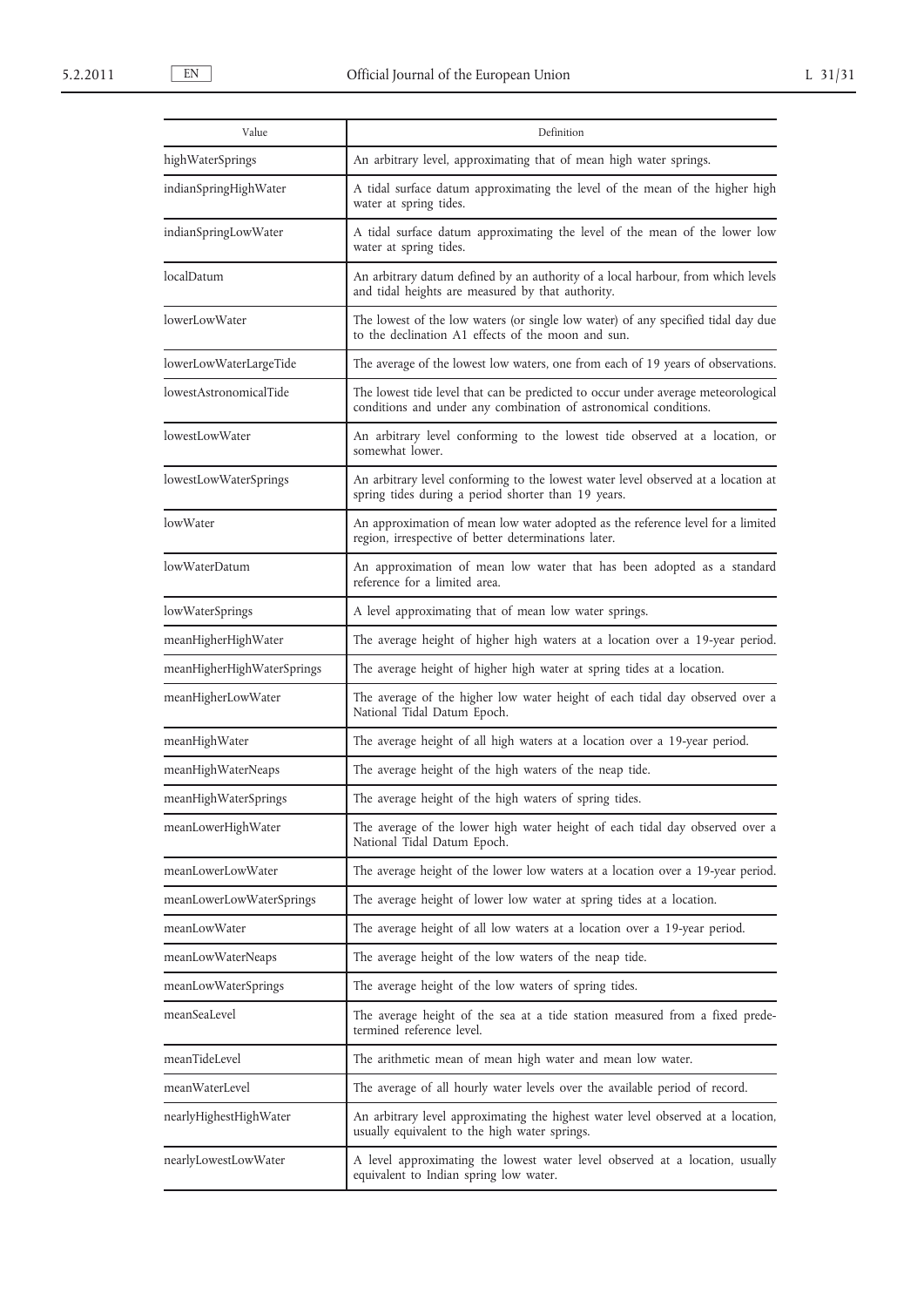| Value                      | Definition                                                                                                                                            |
|----------------------------|-------------------------------------------------------------------------------------------------------------------------------------------------------|
| highWaterSprings           | An arbitrary level, approximating that of mean high water springs.                                                                                    |
| indianSpringHighWater      | A tidal surface datum approximating the level of the mean of the higher high<br>water at spring tides.                                                |
| indianSpringLowWater       | A tidal surface datum approximating the level of the mean of the lower low<br>water at spring tides.                                                  |
| localDatum                 | An arbitrary datum defined by an authority of a local harbour, from which levels<br>and tidal heights are measured by that authority.                 |
| lowerLowWater              | The lowest of the low waters (or single low water) of any specified tidal day due<br>to the declination A1 effects of the moon and sun.               |
| lowerLowWaterLargeTide     | The average of the lowest low waters, one from each of 19 years of observations.                                                                      |
| lowestAstronomicalTide     | The lowest tide level that can be predicted to occur under average meteorological<br>conditions and under any combination of astronomical conditions. |
| lowestLowWater             | An arbitrary level conforming to the lowest tide observed at a location, or<br>somewhat lower.                                                        |
| lowestLowWaterSprings      | An arbitrary level conforming to the lowest water level observed at a location at<br>spring tides during a period shorter than 19 years.              |
| lowWater                   | An approximation of mean low water adopted as the reference level for a limited<br>region, irrespective of better determinations later.               |
| lowWaterDatum              | An approximation of mean low water that has been adopted as a standard<br>reference for a limited area.                                               |
| lowWaterSprings            | A level approximating that of mean low water springs.                                                                                                 |
| meanHigherHighWater        | The average height of higher high waters at a location over a 19-year period.                                                                         |
| meanHigherHighWaterSprings | The average height of higher high water at spring tides at a location.                                                                                |
| meanHigherLowWater         | The average of the higher low water height of each tidal day observed over a<br>National Tidal Datum Epoch.                                           |
| meanHighWater              | The average height of all high waters at a location over a 19-year period.                                                                            |
| meanHighWaterNeaps         | The average height of the high waters of the neap tide.                                                                                               |
| meanHighWaterSprings       | The average height of the high waters of spring tides.                                                                                                |
| meanLowerHighWater         | The average of the lower high water height of each tidal day observed over a<br>National Tidal Datum Epoch.                                           |
| meanLowerLowWater          | The average height of the lower low waters at a location over a 19-year period.                                                                       |
| meanLowerLowWaterSprings   | The average height of lower low water at spring tides at a location.                                                                                  |
| meanLowWater               | The average height of all low waters at a location over a 19-year period.                                                                             |
| meanLowWaterNeaps          | The average height of the low waters of the neap tide.                                                                                                |
| meanLowWaterSprings        | The average height of the low waters of spring tides.                                                                                                 |
| meanSeaLevel               | The average height of the sea at a tide station measured from a fixed prede-<br>termined reference level.                                             |
| meanTideLevel              | The arithmetic mean of mean high water and mean low water.                                                                                            |
| meanWaterLevel             | The average of all hourly water levels over the available period of record.                                                                           |
| nearlyHighestHighWater     | An arbitrary level approximating the highest water level observed at a location,<br>usually equivalent to the high water springs.                     |
| nearlyLowestLowWater       | A level approximating the lowest water level observed at a location, usually<br>equivalent to Indian spring low water.                                |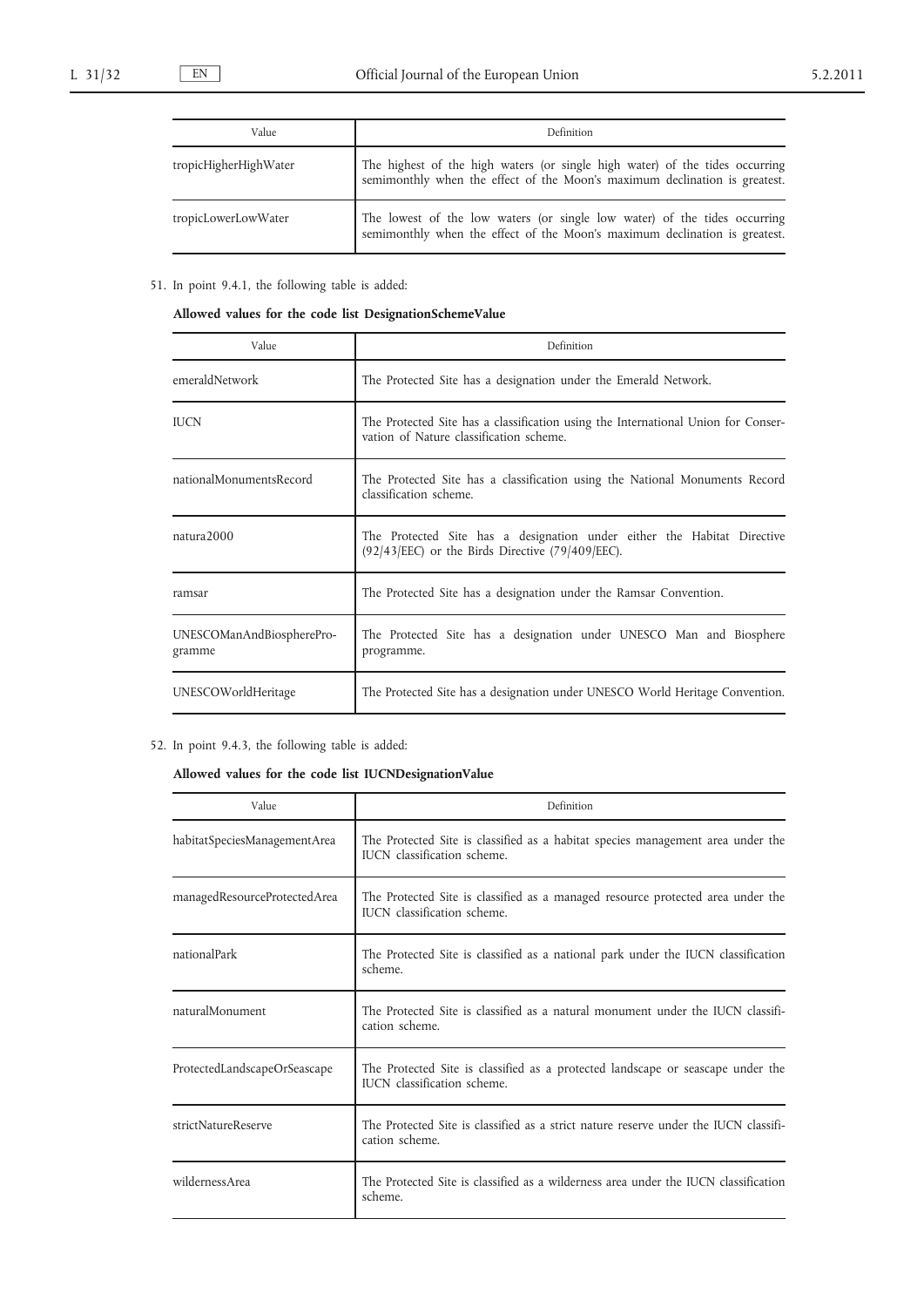| Value                 | Definition                                                                                                                                                 |
|-----------------------|------------------------------------------------------------------------------------------------------------------------------------------------------------|
| tropicHigherHighWater | The highest of the high waters (or single high water) of the tides occurring<br>semimonthly when the effect of the Moon's maximum declination is greatest. |
| tropicLowerLowWater   | The lowest of the low waters (or single low water) of the tides occurring<br>semimonthly when the effect of the Moon's maximum declination is greatest.    |

# 51. In point 9.4.1, the following table is added:

**Allowed values for the code list DesignationSchemeValue**

| Value                               | Definition                                                                                                                    |
|-------------------------------------|-------------------------------------------------------------------------------------------------------------------------------|
| emeraldNetwork                      | The Protected Site has a designation under the Emerald Network.                                                               |
| <b>IUCN</b>                         | The Protected Site has a classification using the International Union for Conser-<br>vation of Nature classification scheme.  |
| nationalMonumentsRecord             | The Protected Site has a classification using the National Monuments Record<br>classification scheme.                         |
| $n_{\text{atura}}$ 2000             | The Protected Site has a designation under either the Habitat Directive<br>$(92/43/EEC)$ or the Birds Directive (79/409/EEC). |
| ramsar                              | The Protected Site has a designation under the Ramsar Convention.                                                             |
| UNESCOManAndBiospherePro-<br>gramme | The Protected Site has a designation under UNESCO Man and Biosphere<br>programme.                                             |
| UNESCOWorldHeritage                 | The Protected Site has a designation under UNESCO World Heritage Convention.                                                  |

# 52. In point 9.4.3, the following table is added:

# **Allowed values for the code list IUCNDesignationValue**

| Value                        | Definition                                                                                                     |
|------------------------------|----------------------------------------------------------------------------------------------------------------|
| habitatSpeciesManagementArea | The Protected Site is classified as a habitat species management area under the<br>IUCN classification scheme. |
| managedResourceProtectedArea | The Protected Site is classified as a managed resource protected area under the<br>IUCN classification scheme. |
| nationalPark                 | The Protected Site is classified as a national park under the IUCN classification<br>scheme.                   |
| naturalMonument              | The Protected Site is classified as a natural monument under the IUCN classifi-<br>cation scheme.              |
| ProtectedLandscapeOrSeascape | The Protected Site is classified as a protected landscape or seascape under the<br>IUCN classification scheme. |
| strictNatureReserve          | The Protected Site is classified as a strict nature reserve under the IUCN classifi-<br>cation scheme.         |
| wildernessArea               | The Protected Site is classified as a wilderness area under the IUCN classification<br>scheme.                 |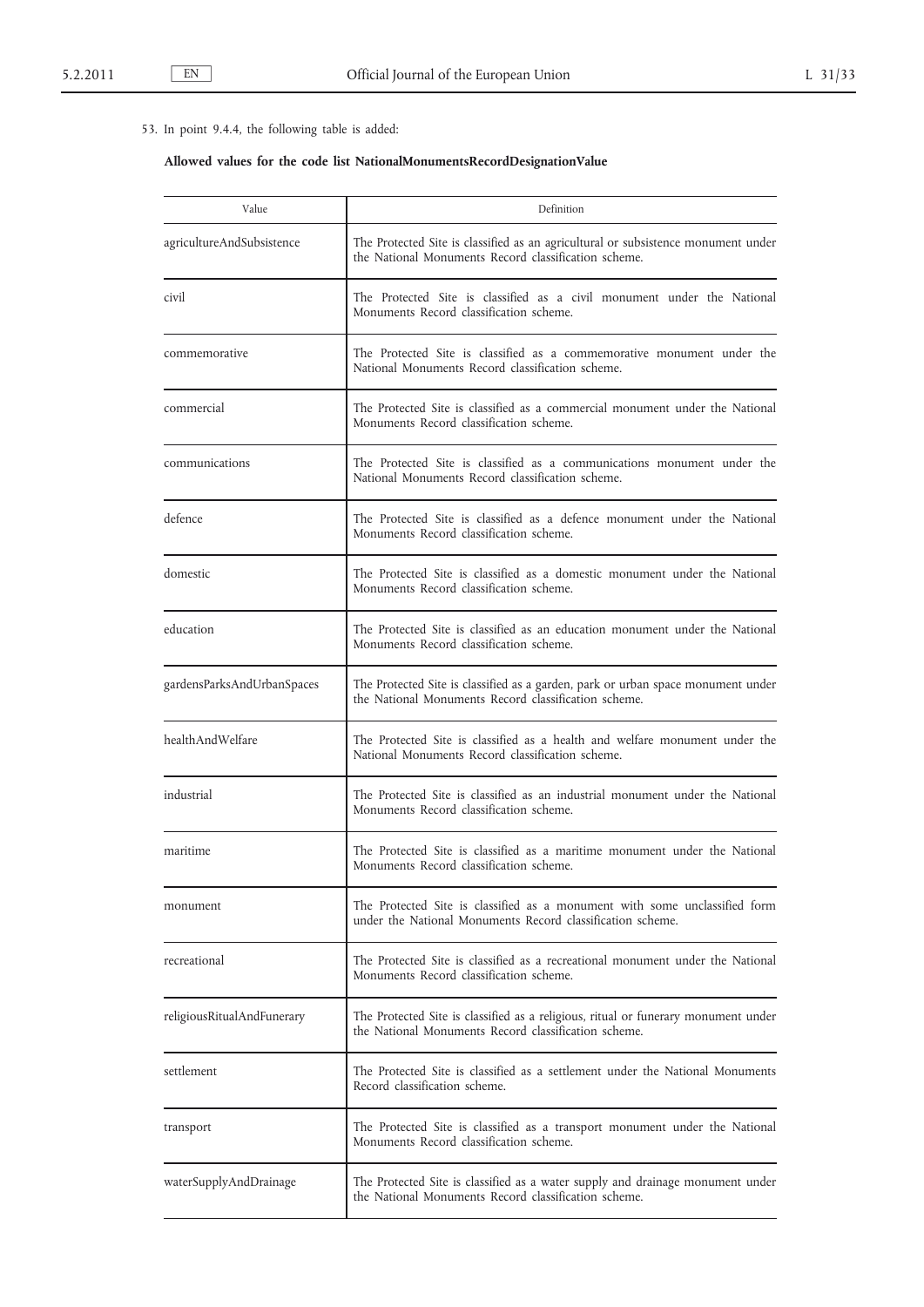# 53. In point 9.4.4, the following table is added:

# **Allowed values for the code list NationalMonumentsRecordDesignationValue**

| Value                      | Definition                                                                                                                                 |
|----------------------------|--------------------------------------------------------------------------------------------------------------------------------------------|
| agricultureAndSubsistence  | The Protected Site is classified as an agricultural or subsistence monument under<br>the National Monuments Record classification scheme.  |
| civil                      | The Protected Site is classified as a civil monument under the National<br>Monuments Record classification scheme.                         |
| commemorative              | The Protected Site is classified as a commemorative monument under the<br>National Monuments Record classification scheme.                 |
| commercial                 | The Protected Site is classified as a commercial monument under the National<br>Monuments Record classification scheme.                    |
| communications             | The Protected Site is classified as a communications monument under the<br>National Monuments Record classification scheme.                |
| defence                    | The Protected Site is classified as a defence monument under the National<br>Monuments Record classification scheme.                       |
| domestic                   | The Protected Site is classified as a domestic monument under the National<br>Monuments Record classification scheme.                      |
| education                  | The Protected Site is classified as an education monument under the National<br>Monuments Record classification scheme.                    |
| gardensParksAndUrbanSpaces | The Protected Site is classified as a garden, park or urban space monument under<br>the National Monuments Record classification scheme.   |
| healthAndWelfare           | The Protected Site is classified as a health and welfare monument under the<br>National Monuments Record classification scheme.            |
| industrial                 | The Protected Site is classified as an industrial monument under the National<br>Monuments Record classification scheme.                   |
| maritime                   | The Protected Site is classified as a maritime monument under the National<br>Monuments Record classification scheme.                      |
| monument                   | The Protected Site is classified as a monument with some unclassified form<br>under the National Monuments Record classification scheme.   |
| recreational               | The Protected Site is classified as a recreational monument under the National<br>Monuments Record classification scheme.                  |
| religiousRitualAndFunerary | The Protected Site is classified as a religious, ritual or funerary monument under<br>the National Monuments Record classification scheme. |
| settlement                 | The Protected Site is classified as a settlement under the National Monuments<br>Record classification scheme.                             |
| transport                  | The Protected Site is classified as a transport monument under the National<br>Monuments Record classification scheme.                     |
| waterSupplyAndDrainage     | The Protected Site is classified as a water supply and drainage monument under<br>the National Monuments Record classification scheme.     |